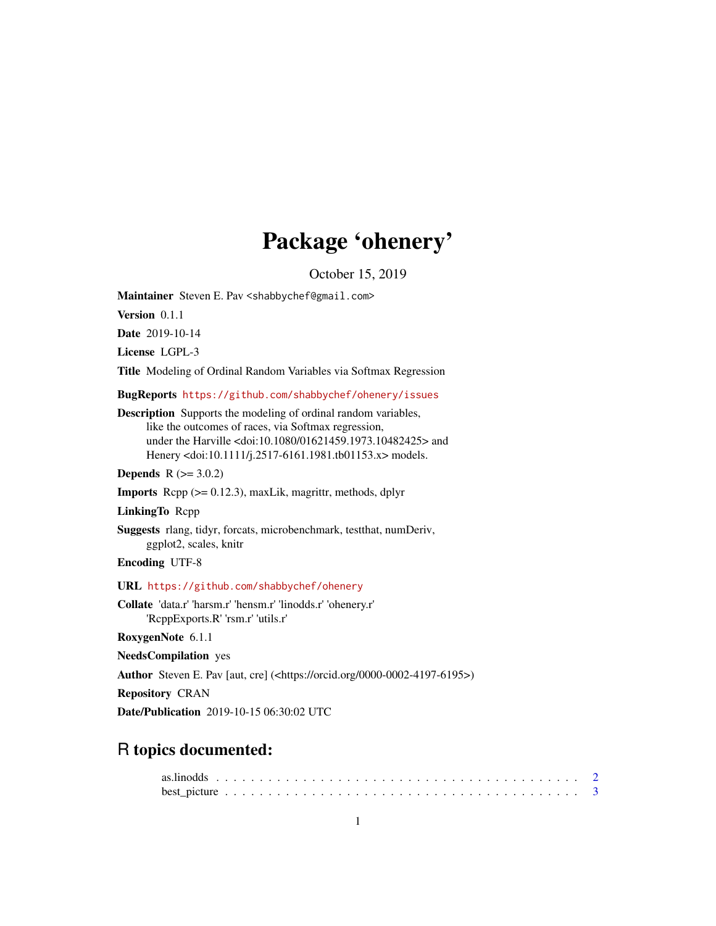# Package 'ohenery'

October 15, 2019

<span id="page-0-0"></span>Maintainer Steven E. Pav <shabbychef@gmail.com>

Version 0.1.1

Date 2019-10-14

License LGPL-3

Title Modeling of Ordinal Random Variables via Softmax Regression

BugReports <https://github.com/shabbychef/ohenery/issues>

Description Supports the modeling of ordinal random variables, like the outcomes of races, via Softmax regression, under the Harville <doi:10.1080/01621459.1973.10482425> and Henery <doi:10.1111/j.2517-6161.1981.tb01153.x> models.

**Depends**  $R$  ( $>= 3.0.2$ )

**Imports** Rcpp  $(>= 0.12.3)$ , maxLik, magrittr, methods, dplyr

LinkingTo Rcpp

Suggests rlang, tidyr, forcats, microbenchmark, testthat, numDeriv, ggplot2, scales, knitr

Encoding UTF-8

URL <https://github.com/shabbychef/ohenery>

Collate 'data.r' 'harsm.r' 'hensm.r' 'linodds.r' 'ohenery.r' 'RcppExports.R' 'rsm.r' 'utils.r'

RoxygenNote 6.1.1

NeedsCompilation yes

Author Steven E. Pav [aut, cre] (<https://orcid.org/0000-0002-4197-6195>)

Repository CRAN

Date/Publication 2019-10-15 06:30:02 UTC

# R topics documented: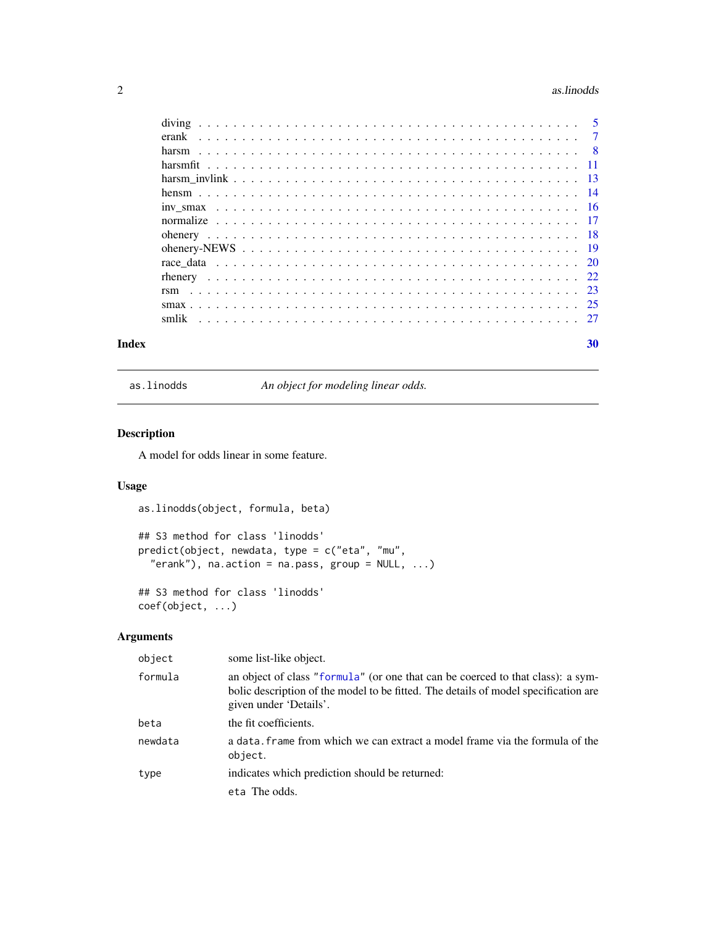#### <span id="page-1-0"></span>2 as. Inodes as  $\alpha$  as  $\alpha$  as  $\alpha$  as  $\alpha$  as  $\alpha$  as  $\alpha$

| Index | 30 |
|-------|----|
|       |    |
|       |    |
|       |    |
|       |    |
|       |    |
|       |    |
|       |    |
|       |    |
|       |    |
|       |    |
|       |    |
|       |    |
|       |    |
|       |    |
|       |    |

as.linodds *An object for modeling linear odds.*

# Description

A model for odds linear in some feature.

# Usage

as.linodds(object, formula, beta)

```
## S3 method for class 'linodds'
predict(object, newdata, type = c("eta", "mu",
  "erank"), na.action = na.pass, group = NULL, ...)
```
## S3 method for class 'linodds' coef(object, ...)

# Arguments

| object  | some list-like object.                                                                                                                                                                           |
|---------|--------------------------------------------------------------------------------------------------------------------------------------------------------------------------------------------------|
| formula | an object of class "formula" (or one that can be coerced to that class): a sym-<br>bolic description of the model to be fitted. The details of model specification are<br>given under 'Details'. |
| beta    | the fit coefficients.                                                                                                                                                                            |
| newdata | a data. Frame from which we can extract a model frame via the formula of the<br>object.                                                                                                          |
| type    | indicates which prediction should be returned:                                                                                                                                                   |
|         | eta The odds.                                                                                                                                                                                    |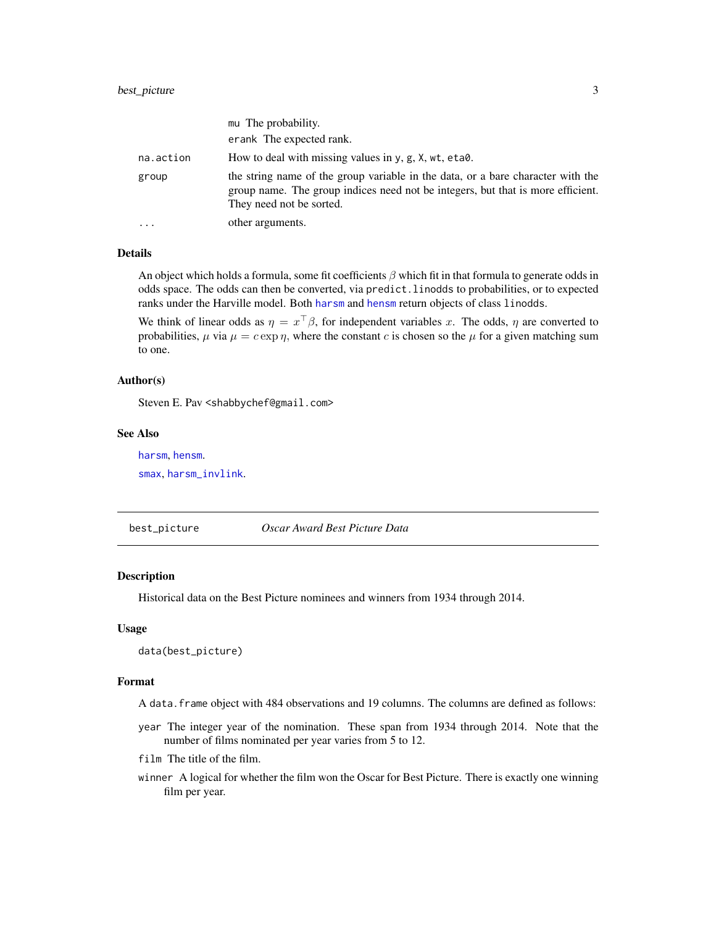<span id="page-2-0"></span>

|           | mu The probability.                                                                                                                                                                            |
|-----------|------------------------------------------------------------------------------------------------------------------------------------------------------------------------------------------------|
|           | erank The expected rank.                                                                                                                                                                       |
| na.action | How to deal with missing values in y, g, X, wt, eta0.                                                                                                                                          |
| group     | the string name of the group variable in the data, or a bare character with the<br>group name. The group indices need not be integers, but that is more efficient.<br>They need not be sorted. |
| $\ddotsc$ | other arguments.                                                                                                                                                                               |

#### Details

An object which holds a formula, some fit coefficients  $\beta$  which fit in that formula to generate odds in odds space. The odds can then be converted, via predict.linodds to probabilities, or to expected ranks under the Harville model. Both [harsm](#page-7-1) and [hensm](#page-13-1) return objects of class linodds.

We think of linear odds as  $\eta = x^{\top} \beta$ , for independent variables x. The odds,  $\eta$  are converted to probabilities,  $\mu$  via  $\mu = c \exp \eta$ , where the constant c is chosen so the  $\mu$  for a given matching sum to one.

# Author(s)

Steven E. Pav <shabbychef@gmail.com>

#### See Also

[harsm](#page-7-1), [hensm](#page-13-1).

[smax](#page-24-1), [harsm\\_invlink](#page-12-1).

best\_picture *Oscar Award Best Picture Data*

# Description

Historical data on the Best Picture nominees and winners from 1934 through 2014.

#### Usage

data(best\_picture)

#### Format

A data.frame object with 484 observations and 19 columns. The columns are defined as follows:

- year The integer year of the nomination. These span from 1934 through 2014. Note that the number of films nominated per year varies from 5 to 12.
- film The title of the film.
- winner A logical for whether the film won the Oscar for Best Picture. There is exactly one winning film per year.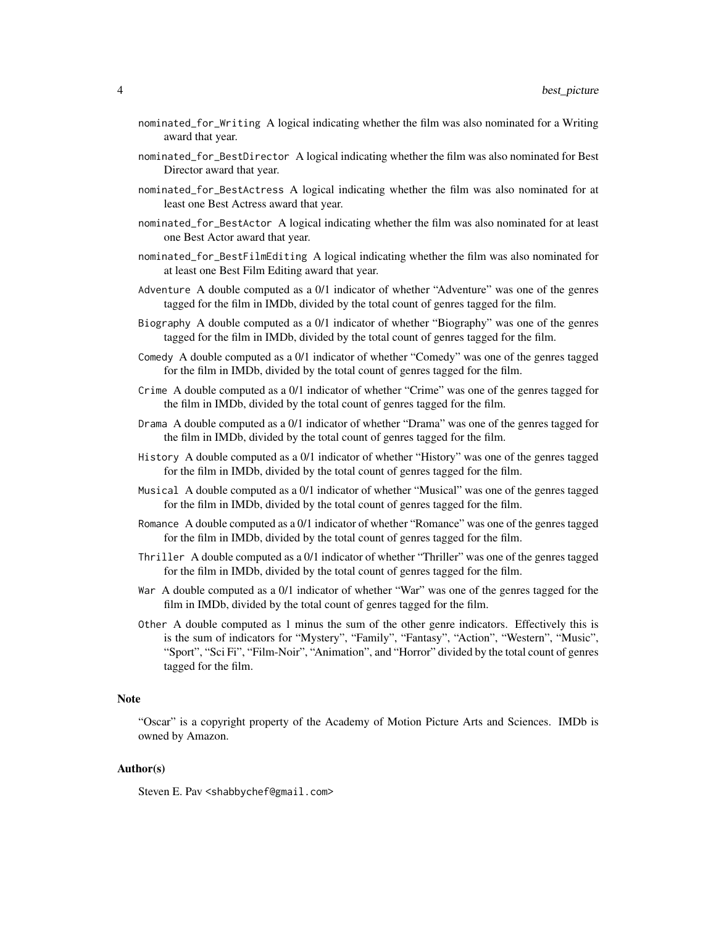- nominated\_for\_Writing A logical indicating whether the film was also nominated for a Writing award that year.
- nominated\_for\_BestDirector A logical indicating whether the film was also nominated for Best Director award that year.
- nominated\_for\_BestActress A logical indicating whether the film was also nominated for at least one Best Actress award that year.
- nominated\_for\_BestActor A logical indicating whether the film was also nominated for at least one Best Actor award that year.
- nominated\_for\_BestFilmEditing A logical indicating whether the film was also nominated for at least one Best Film Editing award that year.
- Adventure A double computed as a 0/1 indicator of whether "Adventure" was one of the genres tagged for the film in IMDb, divided by the total count of genres tagged for the film.
- Biography A double computed as a 0/1 indicator of whether "Biography" was one of the genres tagged for the film in IMDb, divided by the total count of genres tagged for the film.
- Comedy A double computed as a 0/1 indicator of whether "Comedy" was one of the genres tagged for the film in IMDb, divided by the total count of genres tagged for the film.
- Crime A double computed as a 0/1 indicator of whether "Crime" was one of the genres tagged for the film in IMDb, divided by the total count of genres tagged for the film.
- Drama A double computed as a 0/1 indicator of whether "Drama" was one of the genres tagged for the film in IMDb, divided by the total count of genres tagged for the film.
- History A double computed as a 0/1 indicator of whether "History" was one of the genres tagged for the film in IMDb, divided by the total count of genres tagged for the film.
- Musical A double computed as a 0/1 indicator of whether "Musical" was one of the genres tagged for the film in IMDb, divided by the total count of genres tagged for the film.
- Romance A double computed as a 0/1 indicator of whether "Romance" was one of the genres tagged for the film in IMDb, divided by the total count of genres tagged for the film.
- Thriller A double computed as a 0/1 indicator of whether "Thriller" was one of the genres tagged for the film in IMDb, divided by the total count of genres tagged for the film.
- War A double computed as a 0/1 indicator of whether "War" was one of the genres tagged for the film in IMDb, divided by the total count of genres tagged for the film.
- Other A double computed as 1 minus the sum of the other genre indicators. Effectively this is is the sum of indicators for "Mystery", "Family", "Fantasy", "Action", "Western", "Music", "Sport", "Sci Fi", "Film-Noir", "Animation", and "Horror" divided by the total count of genres tagged for the film.

# Note

"Oscar" is a copyright property of the Academy of Motion Picture Arts and Sciences. IMDb is owned by Amazon.

# Author(s)

Steven E. Pav <shabbychef@gmail.com>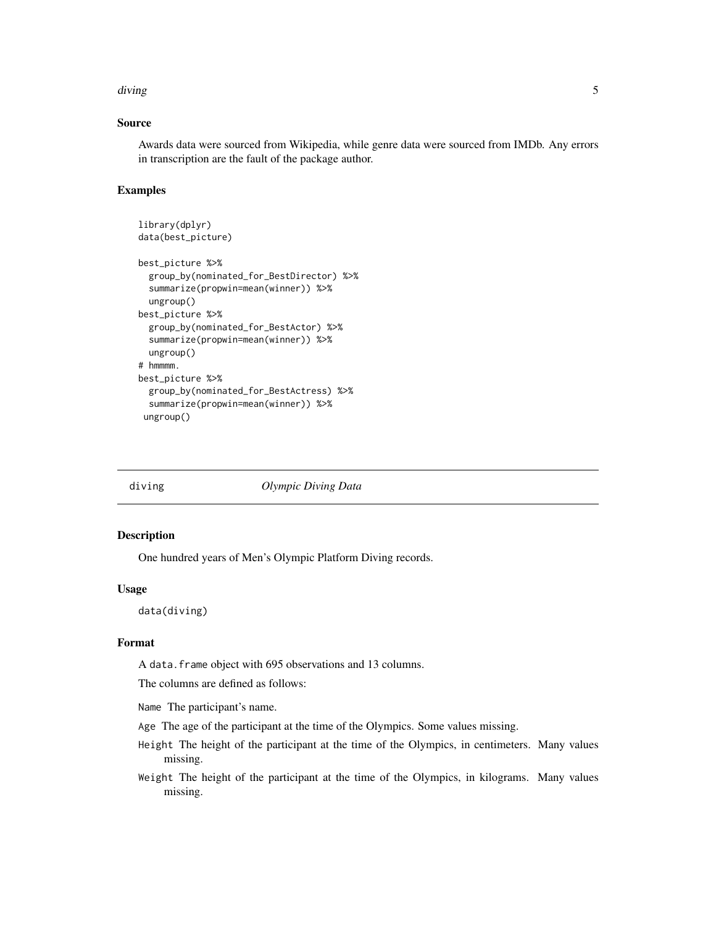#### <span id="page-4-0"></span>diving the state of the state of the state of the state of the state of the state of the state of the state of

# Source

Awards data were sourced from Wikipedia, while genre data were sourced from IMDb. Any errors in transcription are the fault of the package author.

# Examples

```
library(dplyr)
data(best_picture)
best_picture %>%
 group_by(nominated_for_BestDirector) %>%
 summarize(propwin=mean(winner)) %>%
 ungroup()
best_picture %>%
 group_by(nominated_for_BestActor) %>%
 summarize(propwin=mean(winner)) %>%
 ungroup()
# hmmmm.
best_picture %>%
 group_by(nominated_for_BestActress) %>%
 summarize(propwin=mean(winner)) %>%
ungroup()
```
diving *Olympic Diving Data*

#### Description

One hundred years of Men's Olympic Platform Diving records.

#### Usage

data(diving)

# Format

A data.frame object with 695 observations and 13 columns.

The columns are defined as follows:

Name The participant's name.

- Age The age of the participant at the time of the Olympics. Some values missing.
- Height The height of the participant at the time of the Olympics, in centimeters. Many values missing.
- Weight The height of the participant at the time of the Olympics, in kilograms. Many values missing.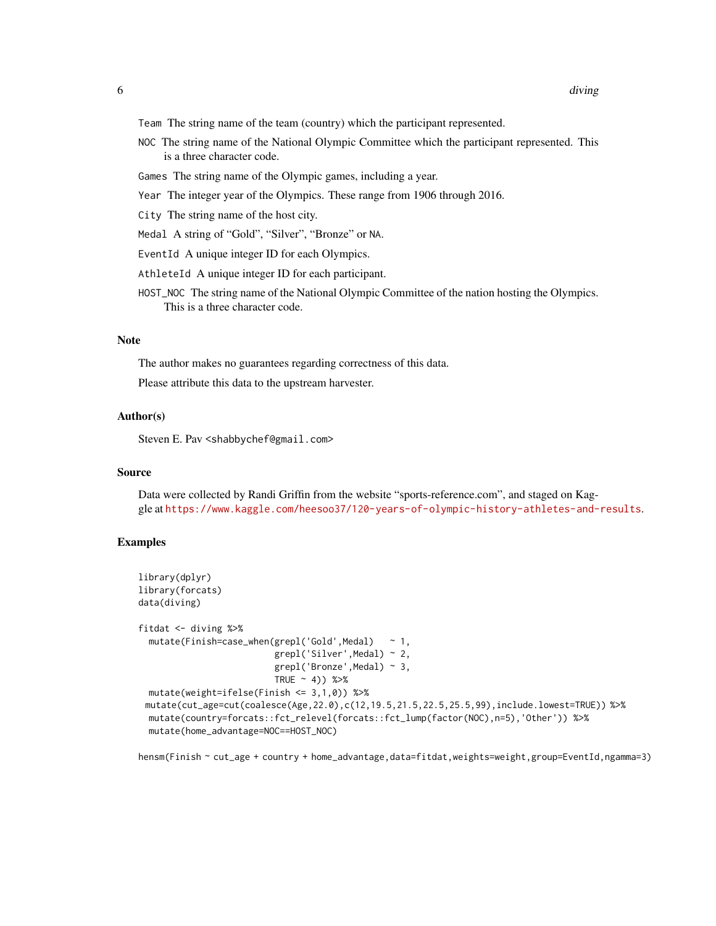- Team The string name of the team (country) which the participant represented.
- NOC The string name of the National Olympic Committee which the participant represented. This is a three character code.
- Games The string name of the Olympic games, including a year.
- Year The integer year of the Olympics. These range from 1906 through 2016.
- City The string name of the host city.
- Medal A string of "Gold", "Silver", "Bronze" or NA.
- EventId A unique integer ID for each Olympics.
- AthleteId A unique integer ID for each participant.
- HOST\_NOC The string name of the National Olympic Committee of the nation hosting the Olympics. This is a three character code.

# **Note**

The author makes no guarantees regarding correctness of this data.

Please attribute this data to the upstream harvester.

# Author(s)

Steven E. Pav <shabbychef@gmail.com>

#### Source

Data were collected by Randi Griffin from the website "sports-reference.com", and staged on Kaggle at <https://www.kaggle.com/heesoo37/120-years-of-olympic-history-athletes-and-results>.

#### Examples

```
library(dplyr)
library(forcats)
data(diving)
fitdat <- diving %>%
 mutate(Finish=case_when(grepl('Gold',Medal) ~ 1,
                         grepl('Silver',Medal) ~ 2,
                         grepl('Bronze',Medal) ~ 3,
                         TRUE ~1) %>%
 mutate(weight=ifelse(Finish <= 3,1,0)) %>%
 mutate(cut_age=cut(coalesce(Age,22.0),c(12,19.5,21.5,22.5,25.5,99),include.lowest=TRUE)) %>%
 mutate(country=forcats::fct_relevel(forcats::fct_lump(factor(NOC),n=5),'Other')) %>%
 mutate(home_advantage=NOC==HOST_NOC)
```
hensm(Finish ~ cut\_age + country + home\_advantage,data=fitdat,weights=weight,group=EventId,ngamma=3)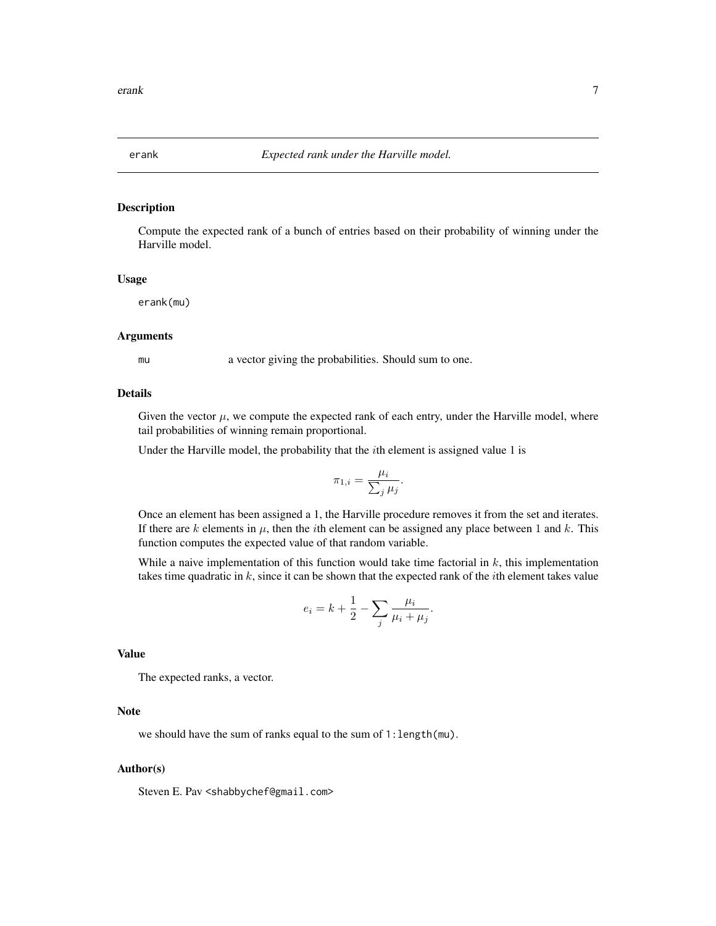<span id="page-6-1"></span><span id="page-6-0"></span>

# Description

Compute the expected rank of a bunch of entries based on their probability of winning under the Harville model.

#### Usage

erank(mu)

## **Arguments**

mu a vector giving the probabilities. Should sum to one.

# Details

Given the vector  $\mu$ , we compute the expected rank of each entry, under the Harville model, where tail probabilities of winning remain proportional.

Under the Harville model, the probability that the  $i$ th element is assigned value 1 is

$$
\pi_{1,i} = \frac{\mu_i}{\sum_j \mu_j}.
$$

Once an element has been assigned a 1, the Harville procedure removes it from the set and iterates. If there are k elements in  $\mu$ , then the *i*th element can be assigned any place between 1 and k. This function computes the expected value of that random variable.

While a naive implementation of this function would take time factorial in  $k$ , this implementation takes time quadratic in  $k$ , since it can be shown that the expected rank of the *i*th element takes value

$$
e_i = k + \frac{1}{2} - \sum_j \frac{\mu_i}{\mu_i + \mu_j}.
$$

# Value

The expected ranks, a vector.

# Note

we should have the sum of ranks equal to the sum of 1:length(mu).

### Author(s)

Steven E. Pav <shabbychef@gmail.com>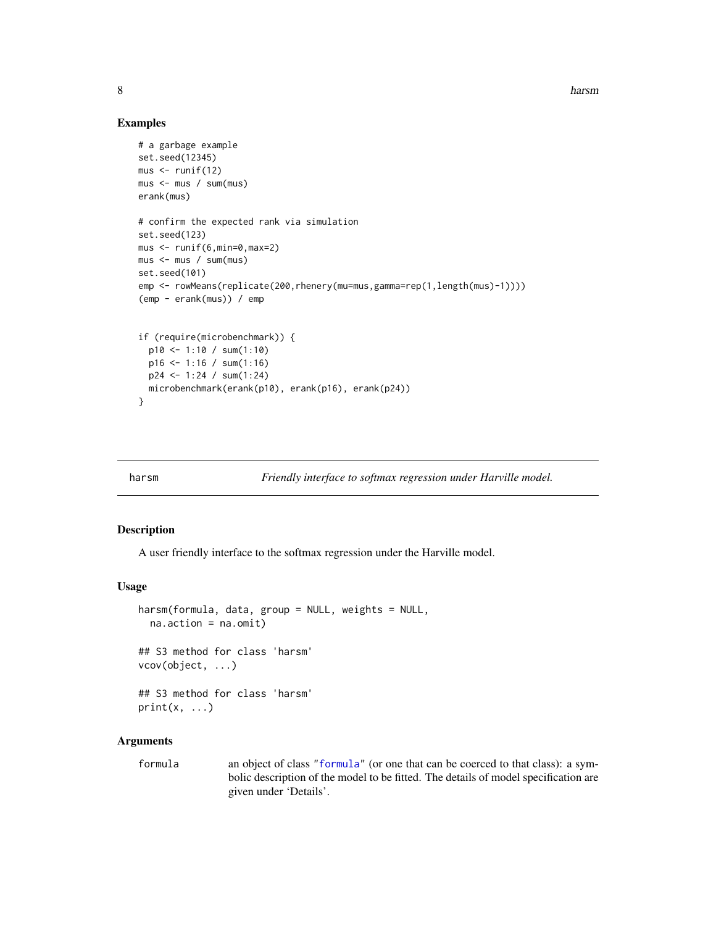8 harsman and the set of the set of the set of the set of the set of the set of the set of the set of the set of the set of the set of the set of the set of the set of the set of the set of the set of the set of the set of

# Examples

```
# a garbage example
set.seed(12345)
mus < - runif(12)mus <- mus / sum(mus)
erank(mus)
# confirm the expected rank via simulation
set.seed(123)
mus < - runif(6, min=0, max=2)mus <- mus / sum(mus)
set.seed(101)
emp <- rowMeans(replicate(200,rhenery(mu=mus,gamma=rep(1,length(mus)-1))))
(emp - erank(mus)) / emp
if (require(microbenchmark)) {
  p10 <- 1:10 / sum(1:10)
  p16 \le -1:16 / sum(1:16)p24 <- 1:24 / sum(1:24)
  microbenchmark(erank(p10), erank(p16), erank(p24))
}
```
<span id="page-7-1"></span>

harsm *Friendly interface to softmax regression under Harville model.*

# Description

A user friendly interface to the softmax regression under the Harville model.

#### Usage

```
harsm(formula, data, group = NULL, weights = NULL,
  na.action = na.omit)
## S3 method for class 'harsm'
vcov(object, ...)
## S3 method for class 'harsm'
print(x, \ldots)
```
# Arguments

formula an object of class ["formula"](#page-0-0) (or one that can be coerced to that class): a symbolic description of the model to be fitted. The details of model specification are given under 'Details'.

<span id="page-7-0"></span>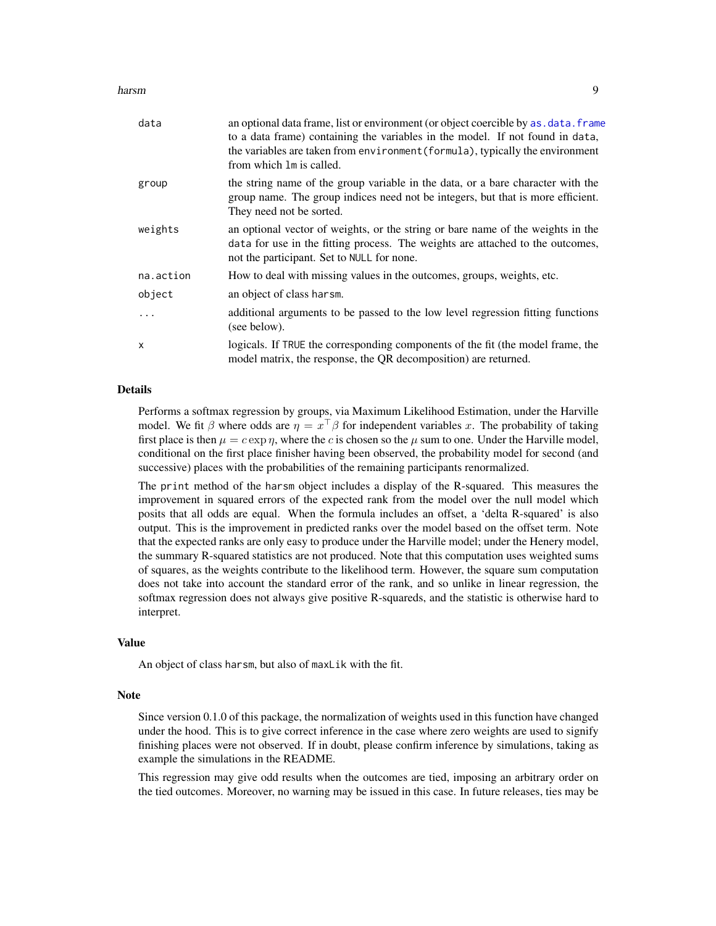#### <span id="page-8-0"></span>harsm **9**

| data         | an optional data frame, list or environment (or object coercible by as, data, frame<br>to a data frame) containing the variables in the model. If not found in data,<br>the variables are taken from environment (formula), typically the environment<br>from which 1m is called. |
|--------------|-----------------------------------------------------------------------------------------------------------------------------------------------------------------------------------------------------------------------------------------------------------------------------------|
| group        | the string name of the group variable in the data, or a bare character with the<br>group name. The group indices need not be integers, but that is more efficient.<br>They need not be sorted.                                                                                    |
| weights      | an optional vector of weights, or the string or bare name of the weights in the<br>data for use in the fitting process. The weights are attached to the outcomes,<br>not the participant. Set to NULL for none.                                                                   |
| na.action    | How to deal with missing values in the outcomes, groups, weights, etc.                                                                                                                                                                                                            |
| object       | an object of class harsm.                                                                                                                                                                                                                                                         |
| $\ddots$     | additional arguments to be passed to the low level regression fitting functions<br>(see below).                                                                                                                                                                                   |
| $\mathsf{x}$ | logicals. If TRUE the corresponding components of the fit (the model frame, the<br>model matrix, the response, the QR decomposition) are returned.                                                                                                                                |

# Details

Performs a softmax regression by groups, via Maximum Likelihood Estimation, under the Harville model. We fit  $\beta$  where odds are  $\eta = x^{\top} \beta$  for independent variables x. The probability of taking first place is then  $\mu = c \exp \eta$ , where the c is chosen so the  $\mu$  sum to one. Under the Harville model, conditional on the first place finisher having been observed, the probability model for second (and successive) places with the probabilities of the remaining participants renormalized.

The print method of the harsm object includes a display of the R-squared. This measures the improvement in squared errors of the expected rank from the model over the null model which posits that all odds are equal. When the formula includes an offset, a 'delta R-squared' is also output. This is the improvement in predicted ranks over the model based on the offset term. Note that the expected ranks are only easy to produce under the Harville model; under the Henery model, the summary R-squared statistics are not produced. Note that this computation uses weighted sums of squares, as the weights contribute to the likelihood term. However, the square sum computation does not take into account the standard error of the rank, and so unlike in linear regression, the softmax regression does not always give positive R-squareds, and the statistic is otherwise hard to interpret.

# Value

An object of class harsm, but also of maxLik with the fit.

#### **Note**

Since version 0.1.0 of this package, the normalization of weights used in this function have changed under the hood. This is to give correct inference in the case where zero weights are used to signify finishing places were not observed. If in doubt, please confirm inference by simulations, taking as example the simulations in the README.

This regression may give odd results when the outcomes are tied, imposing an arbitrary order on the tied outcomes. Moreover, no warning may be issued in this case. In future releases, ties may be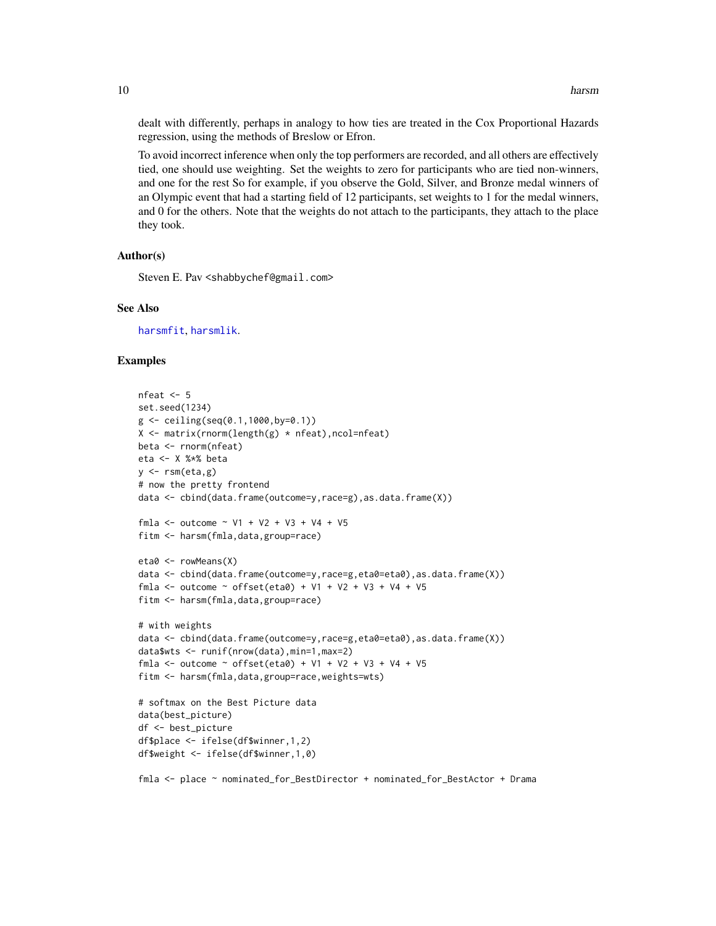<span id="page-9-0"></span>dealt with differently, perhaps in analogy to how ties are treated in the Cox Proportional Hazards regression, using the methods of Breslow or Efron.

To avoid incorrect inference when only the top performers are recorded, and all others are effectively tied, one should use weighting. Set the weights to zero for participants who are tied non-winners, and one for the rest So for example, if you observe the Gold, Silver, and Bronze medal winners of an Olympic event that had a starting field of 12 participants, set weights to 1 for the medal winners, and 0 for the others. Note that the weights do not attach to the participants, they attach to the place they took.

# Author(s)

Steven E. Pav <shabbychef@gmail.com>

#### See Also

[harsmfit](#page-10-1), [harsmlik](#page-26-1).

#### Examples

```
nfeat <-5set.seed(1234)
g \leftarrow ceiling(seq(0.1,1000,by=0.1))
X \leftarrow matrix(rnorm(length(g) * nfeat), ncol=nfeat)
beta <- rnorm(nfeat)
eta <- X %*% beta
y \leq -\text{rsm}(\text{eta}, g)# now the pretty frontend
data <- cbind(data.frame(outcome=y,race=g),as.data.frame(X))
fmla <- outcome \sim V1 + V2 + V3 + V4 + V5
fitm <- harsm(fmla,data,group=race)
eta0 <- rowMeans(X)
data <- cbind(data.frame(outcome=y,race=g,eta0=eta0),as.data.frame(X))
fmla <- outcome ~ offset(eta0) + V1 + V2 + V3 + V4 + V5
fitm <- harsm(fmla,data,group=race)
# with weights
data <- cbind(data.frame(outcome=y,race=g,eta0=eta0),as.data.frame(X))
data$wts <- runif(nrow(data),min=1,max=2)
fmla <- outcome ~ offset(eta0) + V1 + V2 + V3 + V4 + V5
fitm <- harsm(fmla,data,group=race,weights=wts)
# softmax on the Best Picture data
data(best_picture)
df <- best_picture
df$place <- ifelse(df$winner,1,2)
df$weight <- ifelse(df$winner,1,0)
```
fmla <- place ~ nominated\_for\_BestDirector + nominated\_for\_BestActor + Drama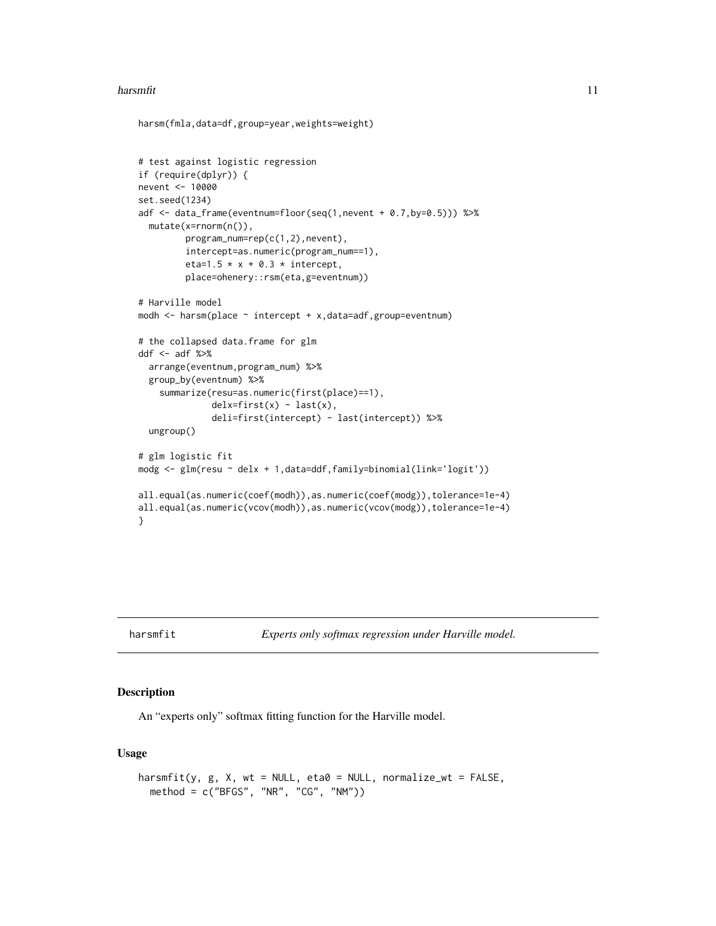#### <span id="page-10-0"></span>harsmfit that the contract of the contract of the contract of the contract of the contract of the contract of the contract of the contract of the contract of the contract of the contract of the contract of the contract of

```
harsm(fmla,data=df,group=year,weights=weight)
```

```
# test against logistic regression
if (require(dplyr)) {
nevent <- 10000
set.seed(1234)
adf <- data_frame(eventnum=floor(seq(1,nevent + 0.7,by=0.5))) %>%
  mutate(x=rnorm(n()),
         program_num=rep(c(1,2),nevent),
         intercept=as.numeric(program_num==1),
         eta=1.5 * x + 0.3 * intercept,
         place=ohenery::rsm(eta,g=eventnum))
# Harville model
modh \leq harsm(place \sim intercept + x,data=adf,group=eventnum)
# the collapsed data.frame for glm
ddf <- adf %>%
  arrange(eventnum,program_num) %>%
  group_by(eventnum) %>%
    summarize(resu=as.numeric(first(place)==1),
              delx=first(x) - last(x),
              deli=first(intercept) - last(intercept)) %>%
  ungroup()
# glm logistic fit
modg <- glm(resu ~ delx + 1,data=ddf,family=binomial(link='logit'))
all.equal(as.numeric(coef(modh)),as.numeric(coef(modg)),tolerance=1e-4)
all.equal(as.numeric(vcov(modh)),as.numeric(vcov(modg)),tolerance=1e-4)
}
```
<span id="page-10-1"></span>harsmfit *Experts only softmax regression under Harville model.*

#### Description

An "experts only" softmax fitting function for the Harville model.

#### Usage

```
harsmfit(y, g, X, wt = NULL, eta0 = NULL, normalize_wt = FALSE,
 method = c("BFGS", "NR", "CG", "NM"))
```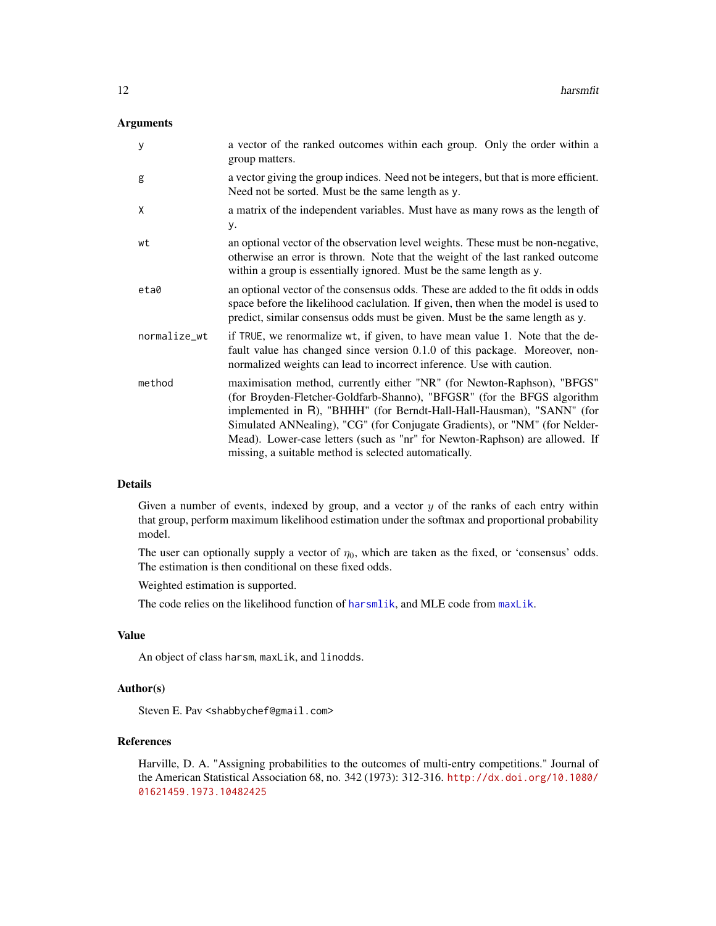# <span id="page-11-0"></span>Arguments

| У            | a vector of the ranked outcomes within each group. Only the order within a<br>group matters.                                                                                                                                                                                                                                                                                                                                                      |
|--------------|---------------------------------------------------------------------------------------------------------------------------------------------------------------------------------------------------------------------------------------------------------------------------------------------------------------------------------------------------------------------------------------------------------------------------------------------------|
| g            | a vector giving the group indices. Need not be integers, but that is more efficient.<br>Need not be sorted. Must be the same length as y.                                                                                                                                                                                                                                                                                                         |
| X            | a matrix of the independent variables. Must have as many rows as the length of<br>у.                                                                                                                                                                                                                                                                                                                                                              |
| wt           | an optional vector of the observation level weights. These must be non-negative,<br>otherwise an error is thrown. Note that the weight of the last ranked outcome<br>within a group is essentially ignored. Must be the same length as y.                                                                                                                                                                                                         |
| eta0         | an optional vector of the consensus odds. These are added to the fit odds in odds<br>space before the likelihood caclulation. If given, then when the model is used to<br>predict, similar consensus odds must be given. Must be the same length as y.                                                                                                                                                                                            |
| normalize_wt | if TRUE, we renormalize wt, if given, to have mean value 1. Note that the de-<br>fault value has changed since version 0.1.0 of this package. Moreover, non-<br>normalized weights can lead to incorrect inference. Use with caution.                                                                                                                                                                                                             |
| method       | maximisation method, currently either "NR" (for Newton-Raphson), "BFGS"<br>(for Broyden-Fletcher-Goldfarb-Shanno), "BFGSR" (for the BFGS algorithm<br>implemented in R), "BHHH" (for Berndt-Hall-Hall-Hausman), "SANN" (for<br>Simulated ANNealing), "CG" (for Conjugate Gradients), or "NM" (for Nelder-<br>Mead). Lower-case letters (such as "nr" for Newton-Raphson) are allowed. If<br>missing, a suitable method is selected automatically. |

# Details

Given a number of events, indexed by group, and a vector  $y$  of the ranks of each entry within that group, perform maximum likelihood estimation under the softmax and proportional probability model.

The user can optionally supply a vector of  $\eta_0$ , which are taken as the fixed, or 'consensus' odds. The estimation is then conditional on these fixed odds.

Weighted estimation is supported.

The code relies on the likelihood function of [harsmlik](#page-26-1), and MLE code from [maxLik](#page-0-0).

# Value

An object of class harsm, maxLik, and linodds.

# Author(s)

Steven E. Pav <shabbychef@gmail.com>

# References

Harville, D. A. "Assigning probabilities to the outcomes of multi-entry competitions." Journal of the American Statistical Association 68, no. 342 (1973): 312-316. [http://dx.doi.org/10.1080/](http://dx.doi.org/10.1080/01621459.1973.10482425) [01621459.1973.10482425](http://dx.doi.org/10.1080/01621459.1973.10482425)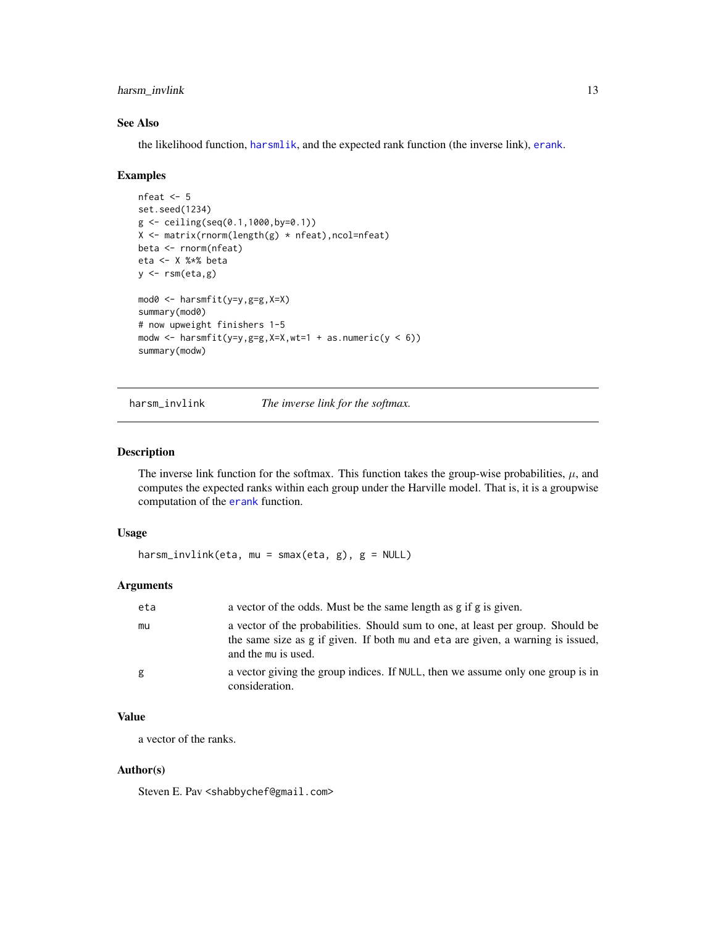# <span id="page-12-0"></span>harsm\_invlink 13

# See Also

the likelihood function, [harsmlik](#page-26-1), and the expected rank function (the inverse link), [erank](#page-6-1).

#### Examples

```
nfeat <- 5
set.seed(1234)
g \leftarrow ceiling(seq(0.1,1000,by=0.1))
X <- matrix(rnorm(length(g) * nfeat),ncol=nfeat)
beta <- rnorm(nfeat)
eta <- X %*% beta
y \leftarrow \text{rsm}(\text{eta}, g)mod0 <- harsmfit(y=y,g=g,X=X)
summary(mod0)
# now upweight finishers 1-5
modw \leq harsmfit(y=y,g=g,X=X,wt=1 + as.numeric(y \leq 6))
summary(modw)
```
<span id="page-12-1"></span>harsm\_invlink *The inverse link for the softmax.*

# Description

The inverse link function for the softmax. This function takes the group-wise probabilities,  $\mu$ , and computes the expected ranks within each group under the Harville model. That is, it is a groupwise computation of the [erank](#page-6-1) function.

# Usage

```
harsm_invlink(eta, mu = smax(eta, g), g = NULL)
```
# Arguments

| eta | a vector of the odds. Must be the same length as g if g is given.                                                                                                                         |
|-----|-------------------------------------------------------------------------------------------------------------------------------------------------------------------------------------------|
| mu  | a vector of the probabilities. Should sum to one, at least per group. Should be<br>the same size as g if given. If both mu and eta are given, a warning is issued,<br>and the mu is used. |
| g   | a vector giving the group indices. If NULL, then we assume only one group is in<br>consideration.                                                                                         |

# Value

a vector of the ranks.

### Author(s)

Steven E. Pav <shabbychef@gmail.com>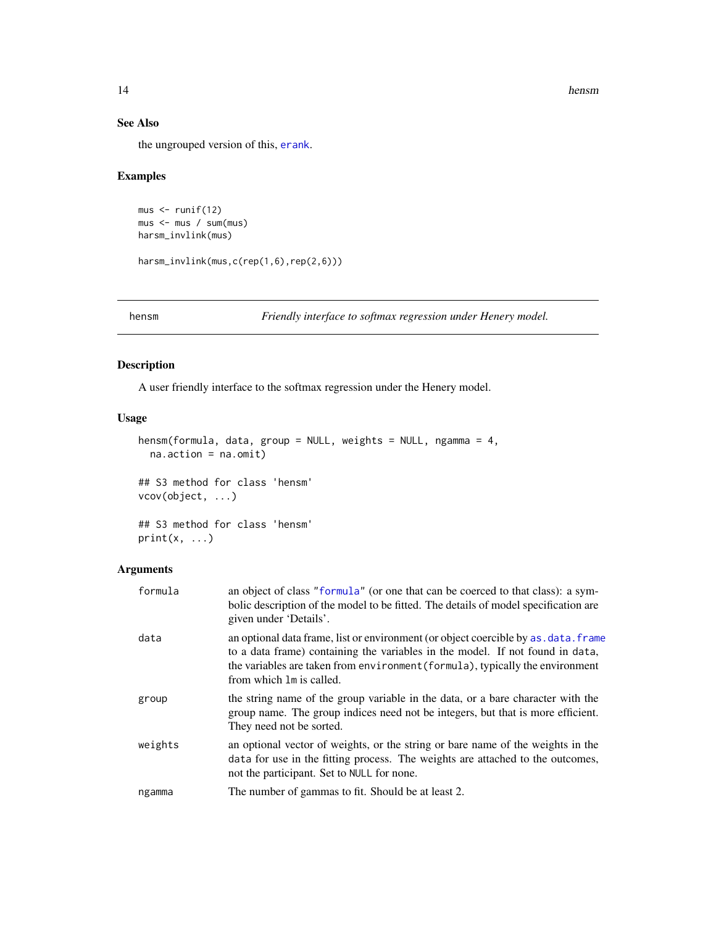14 hensm

# See Also

the ungrouped version of this, [erank](#page-6-1).

# Examples

```
mus < - runif(12)mus <- mus / sum(mus)
harsm_invlink(mus)
```
harsm\_invlink(mus,c(rep(1,6),rep(2,6)))

<span id="page-13-1"></span>hensm *Friendly interface to softmax regression under Henery model.*

# Description

A user friendly interface to the softmax regression under the Henery model.

# Usage

```
hensm(formula, data, group = NULL, weights = NULL, ngamma = 4,
 na.action = na.omit)
## S3 method for class 'hensm'
vcov(object, ...)
```
## S3 method for class 'hensm'  $print(x, \ldots)$ 

# Arguments

| formula | an object of class "formula" (or one that can be coerced to that class): a sym-<br>bolic description of the model to be fitted. The details of model specification are<br>given under 'Details'.                                                                                  |
|---------|-----------------------------------------------------------------------------------------------------------------------------------------------------------------------------------------------------------------------------------------------------------------------------------|
| data    | an optional data frame, list or environment (or object coercible by as, data, frame<br>to a data frame) containing the variables in the model. If not found in data,<br>the variables are taken from environment (formula), typically the environment<br>from which 1m is called. |
| group   | the string name of the group variable in the data, or a bare character with the<br>group name. The group indices need not be integers, but that is more efficient.<br>They need not be sorted.                                                                                    |
| weights | an optional vector of weights, or the string or bare name of the weights in the<br>data for use in the fitting process. The weights are attached to the outcomes,<br>not the participant. Set to NULL for none.                                                                   |
| ngamma  | The number of gammas to fit. Should be at least 2.                                                                                                                                                                                                                                |

<span id="page-13-0"></span>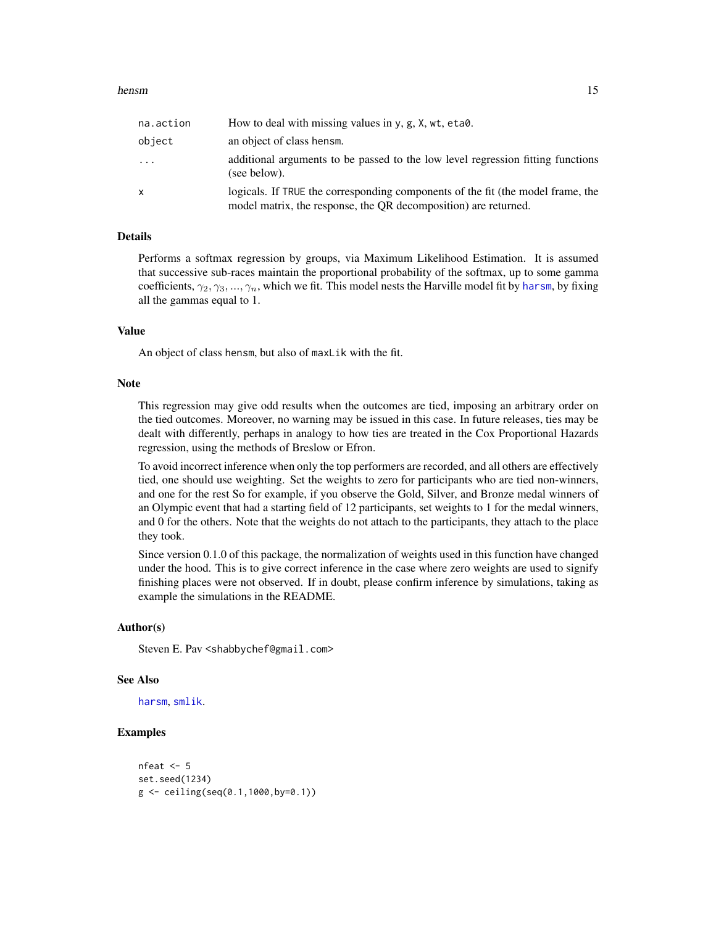#### <span id="page-14-0"></span>hensm and the state of the state of the state of the state of the state of the state of the state of the state of the state of the state of the state of the state of the state of the state of the state of the state of the

| na.action | How to deal with missing values in $y, g, X, wt, eta\$                                                                                             |
|-----------|----------------------------------------------------------------------------------------------------------------------------------------------------|
| object    | an object of class hensm.                                                                                                                          |
| .         | additional arguments to be passed to the low level regression fitting functions<br>(see below).                                                    |
| x         | logicals. If TRUE the corresponding components of the fit (the model frame, the<br>model matrix, the response, the QR decomposition) are returned. |

# Details

Performs a softmax regression by groups, via Maximum Likelihood Estimation. It is assumed that successive sub-races maintain the proportional probability of the softmax, up to some gamma coefficients,  $\gamma_2, \gamma_3, ..., \gamma_n$ , which we fit. This model nests the Harville model fit by [harsm](#page-7-1), by fixing all the gammas equal to 1.

# Value

An object of class hensm, but also of maxLik with the fit.

#### Note

This regression may give odd results when the outcomes are tied, imposing an arbitrary order on the tied outcomes. Moreover, no warning may be issued in this case. In future releases, ties may be dealt with differently, perhaps in analogy to how ties are treated in the Cox Proportional Hazards regression, using the methods of Breslow or Efron.

To avoid incorrect inference when only the top performers are recorded, and all others are effectively tied, one should use weighting. Set the weights to zero for participants who are tied non-winners, and one for the rest So for example, if you observe the Gold, Silver, and Bronze medal winners of an Olympic event that had a starting field of 12 participants, set weights to 1 for the medal winners, and 0 for the others. Note that the weights do not attach to the participants, they attach to the place they took.

Since version 0.1.0 of this package, the normalization of weights used in this function have changed under the hood. This is to give correct inference in the case where zero weights are used to signify finishing places were not observed. If in doubt, please confirm inference by simulations, taking as example the simulations in the README.

# Author(s)

Steven E. Pav <shabbychef@gmail.com>

#### See Also

[harsm](#page-7-1), [smlik](#page-26-2).

# Examples

```
nfeat <-5set.seed(1234)
g <- ceiling(seq(0.1,1000,by=0.1))
```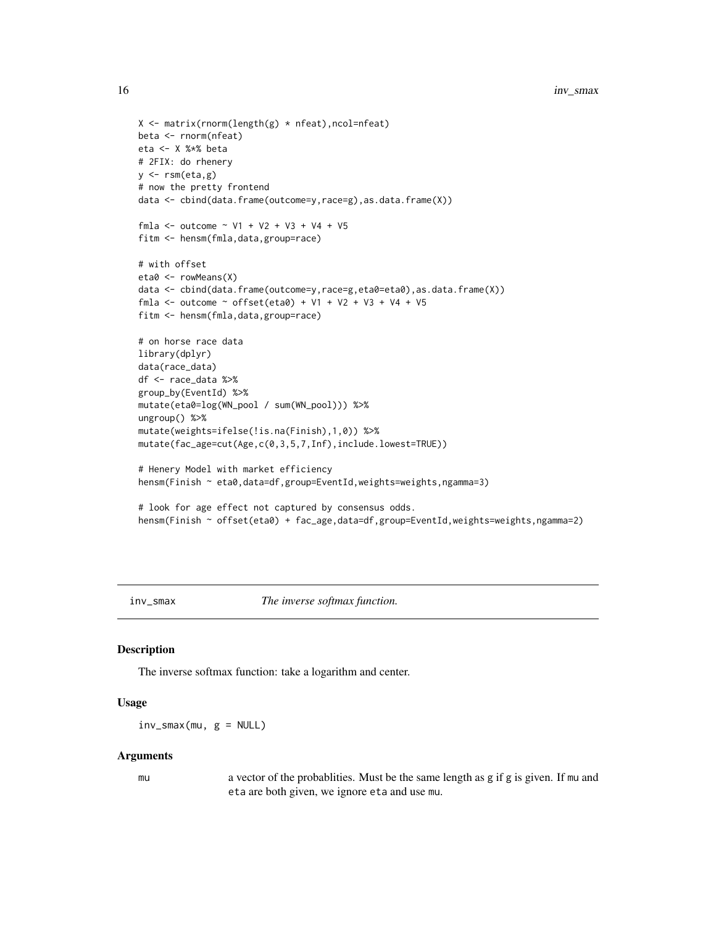```
X \leftarrow matrix(rnorm(length(g) * nfeat), ncol=nfeat)
beta <- rnorm(nfeat)
eta <- X %*% beta
# 2FIX: do rhenery
y \leftarrow \text{rsm}(\text{eta}, g)# now the pretty frontend
data <- cbind(data.frame(outcome=y,race=g),as.data.frame(X))
fmla <- outcome \sim V1 + V2 + V3 + V4 + V5
fitm <- hensm(fmla,data,group=race)
# with offset
eta0 <- rowMeans(X)
data <- cbind(data.frame(outcome=y,race=g,eta0=eta0),as.data.frame(X))
fmla <- outcome ~ offset(eta0) + V1 + V2 + V3 + V4 + V5
fitm <- hensm(fmla,data,group=race)
# on horse race data
library(dplyr)
data(race_data)
df <- race_data %>%
group_by(EventId) %>%
mutate(eta0=log(WN_pool / sum(WN_pool))) %>%
ungroup() %>%
mutate(weights=ifelse(!is.na(Finish),1,0)) %>%
mutate(fac_age=cut(Age,c(0,3,5,7,Inf),include.lowest=TRUE))
# Henery Model with market efficiency
hensm(Finish ~ eta0,data=df,group=EventId,weights=weights,ngamma=3)
# look for age effect not captured by consensus odds.
hensm(Finish ~ offset(eta0) + fac_age,data=df,group=EventId,weights=weights,ngamma=2)
```
<span id="page-15-1"></span>inv\_smax *The inverse softmax function.*

# Description

The inverse softmax function: take a logarithm and center.

#### Usage

 $inv_{\text{max}}(mu, g = NULL)$ 

#### Arguments

mu a vector of the probablities. Must be the same length as g if g is given. If mu and eta are both given, we ignore eta and use mu.

<span id="page-15-0"></span>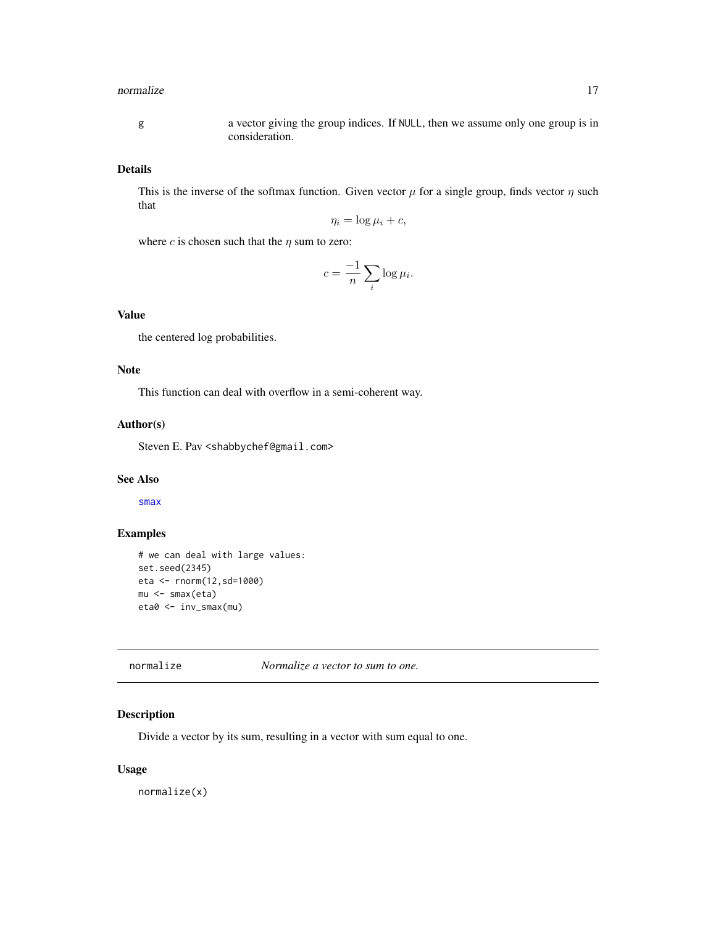#### <span id="page-16-0"></span>normalize the contract of the contract of the contract of the contract of the contract of the contract of the contract of the contract of the contract of the contract of the contract of the contract of the contract of the

g a vector giving the group indices. If NULL, then we assume only one group is in consideration.

# Details

This is the inverse of the softmax function. Given vector  $\mu$  for a single group, finds vector  $\eta$  such that

$$
\eta_i = \log \mu_i + c,
$$

where *c* is chosen such that the  $\eta$  sum to zero:

$$
c = \frac{-1}{n} \sum_{i} \log \mu_i.
$$

# Value

the centered log probabilities.

# Note

This function can deal with overflow in a semi-coherent way.

# Author(s)

Steven E. Pav <shabbychef@gmail.com>

# See Also

[smax](#page-24-1)

# Examples

```
# we can deal with large values:
set.seed(2345)
eta <- rnorm(12,sd=1000)
mu <- smax(eta)
eta0 <- inv_smax(mu)
```
<span id="page-16-1"></span>

#### normalize *Normalize a vector to sum to one.*

# Description

Divide a vector by its sum, resulting in a vector with sum equal to one.

# Usage

normalize(x)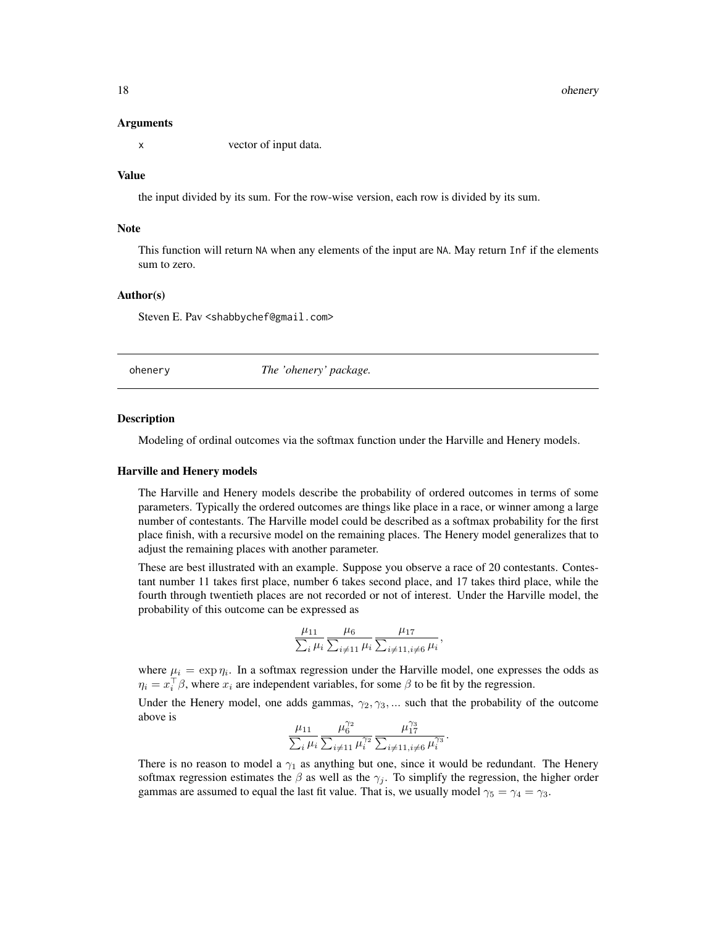#### Arguments

x vector of input data.

# Value

the input divided by its sum. For the row-wise version, each row is divided by its sum.

# Note

This function will return NA when any elements of the input are NA. May return Inf if the elements sum to zero.

# Author(s)

Steven E. Pav <shabbychef@gmail.com>

ohenery *The 'ohenery' package.*

#### Description

Modeling of ordinal outcomes via the softmax function under the Harville and Henery models.

#### Harville and Henery models

The Harville and Henery models describe the probability of ordered outcomes in terms of some parameters. Typically the ordered outcomes are things like place in a race, or winner among a large number of contestants. The Harville model could be described as a softmax probability for the first place finish, with a recursive model on the remaining places. The Henery model generalizes that to adjust the remaining places with another parameter.

These are best illustrated with an example. Suppose you observe a race of 20 contestants. Contestant number 11 takes first place, number 6 takes second place, and 17 takes third place, while the fourth through twentieth places are not recorded or not of interest. Under the Harville model, the probability of this outcome can be expressed as

$$
\frac{\mu_{11}}{\sum_{i} \mu_i} \frac{\mu_6}{\sum_{i \neq 11} \mu_i} \frac{\mu_{17}}{\sum_{i \neq 11, i \neq 6} \mu_i},
$$

where  $\mu_i = \exp \eta_i$ . In a softmax regression under the Harville model, one expresses the odds as  $\eta_i = x_i^{\top} \beta$ , where  $x_i$  are independent variables, for some  $\beta$  to be fit by the regression.

Under the Henery model, one adds gammas,  $\gamma_2, \gamma_3, \dots$  such that the probability of the outcome above is

$$
\frac{\mu_{11}}{\sum_{i}\mu_i}\frac{\mu_6^{\gamma_2}}{\sum_{i\neq 11}\mu_i^{\gamma_2}}\frac{\mu_{17}^{\gamma_3}}{\sum_{i\neq 11,i\neq 6}\mu_i^{\gamma_3}}.
$$

There is no reason to model a  $\gamma_1$  as anything but one, since it would be redundant. The Henery softmax regression estimates the  $\beta$  as well as the  $\gamma_j$ . To simplify the regression, the higher order gammas are assumed to equal the last fit value. That is, we usually model  $\gamma_5 = \gamma_4 = \gamma_3$ .

<span id="page-17-0"></span>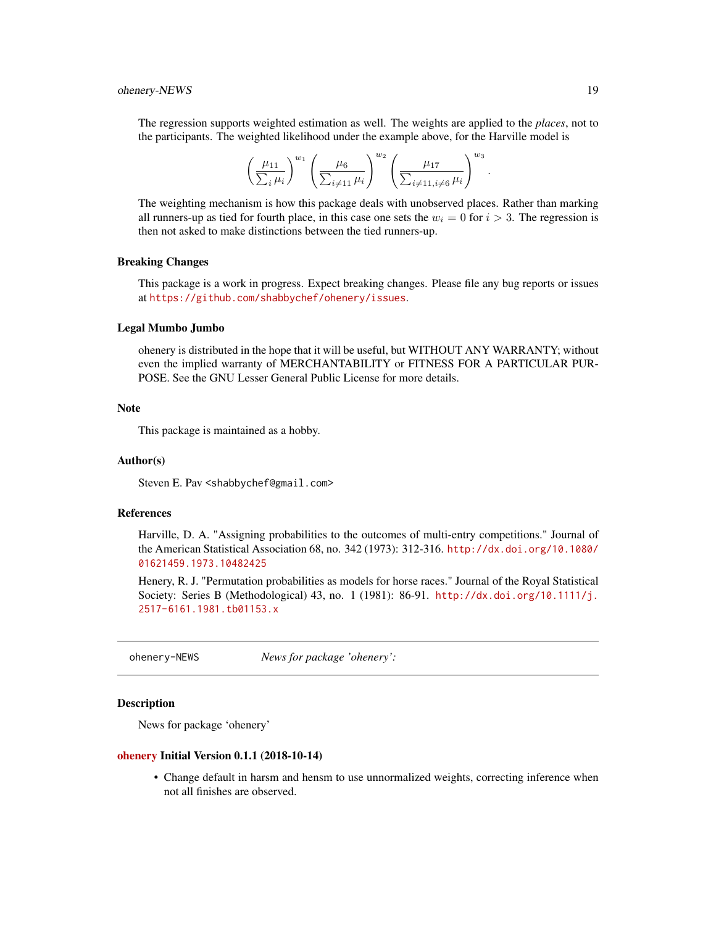<span id="page-18-0"></span>The regression supports weighted estimation as well. The weights are applied to the *places*, not to the participants. The weighted likelihood under the example above, for the Harville model is

$$
\left(\frac{\mu_{11}}{\sum_i \mu_i}\right)^{w_1} \left(\frac{\mu_6}{\sum_{i \neq 11} \mu_i}\right)^{w_2} \left(\frac{\mu_{17}}{\sum_{i \neq 11, i \neq 6} \mu_i}\right)^{w_3}.
$$

The weighting mechanism is how this package deals with unobserved places. Rather than marking all runners-up as tied for fourth place, in this case one sets the  $w_i = 0$  for  $i > 3$ . The regression is then not asked to make distinctions between the tied runners-up.

#### Breaking Changes

This package is a work in progress. Expect breaking changes. Please file any bug reports or issues at <https://github.com/shabbychef/ohenery/issues>.

#### Legal Mumbo Jumbo

ohenery is distributed in the hope that it will be useful, but WITHOUT ANY WARRANTY; without even the implied warranty of MERCHANTABILITY or FITNESS FOR A PARTICULAR PUR-POSE. See the GNU Lesser General Public License for more details.

# **Note**

This package is maintained as a hobby.

# Author(s)

Steven E. Pav <shabbychef@gmail.com>

# References

Harville, D. A. "Assigning probabilities to the outcomes of multi-entry competitions." Journal of the American Statistical Association 68, no. 342 (1973): 312-316. [http://dx.doi.org/10.1080/](http://dx.doi.org/10.1080/01621459.1973.10482425) [01621459.1973.10482425](http://dx.doi.org/10.1080/01621459.1973.10482425)

Henery, R. J. "Permutation probabilities as models for horse races." Journal of the Royal Statistical Society: Series B (Methodological) 43, no. 1 (1981): 86-91. [http://dx.doi.org/10.1111/j.](http://dx.doi.org/10.1111/j.2517-6161.1981.tb01153.x) [2517-6161.1981.tb01153.x](http://dx.doi.org/10.1111/j.2517-6161.1981.tb01153.x)

ohenery-NEWS *News for package 'ohenery':*

#### Description

News for package 'ohenery'

#### [ohenery](https://cran.r-project.org/package=ohenery) Initial Version 0.1.1 (2018-10-14)

• Change default in harsm and hensm to use unnormalized weights, correcting inference when not all finishes are observed.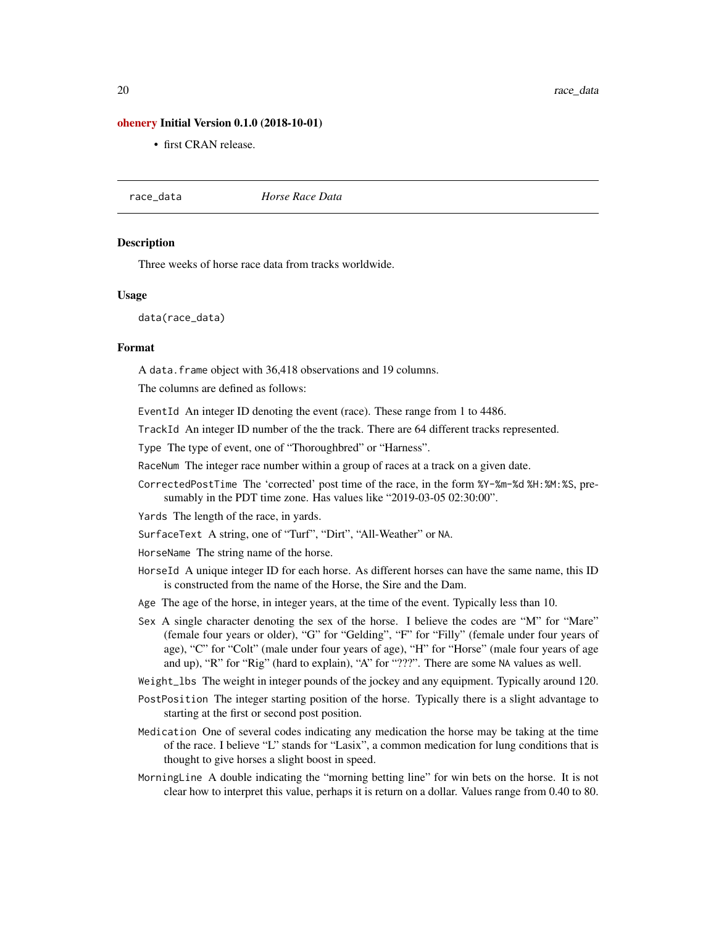#### <span id="page-19-0"></span>[ohenery](https://cran.r-project.org/package=ohenery) Initial Version 0.1.0 (2018-10-01)

• first CRAN release.

race\_data *Horse Race Data*

#### **Description**

Three weeks of horse race data from tracks worldwide.

#### Usage

data(race\_data)

#### Format

A data.frame object with 36,418 observations and 19 columns.

The columns are defined as follows:

EventId An integer ID denoting the event (race). These range from 1 to 4486.

TrackId An integer ID number of the the track. There are 64 different tracks represented.

Type The type of event, one of "Thoroughbred" or "Harness".

RaceNum The integer race number within a group of races at a track on a given date.

CorrectedPostTime The 'corrected' post time of the race, in the form %Y-%m-%d %H:%M:%S, presumably in the PDT time zone. Has values like "2019-03-05 02:30:00".

Yards The length of the race, in yards.

SurfaceText A string, one of "Turf", "Dirt", "All-Weather" or NA.

HorseName The string name of the horse.

- HorseId A unique integer ID for each horse. As different horses can have the same name, this ID is constructed from the name of the Horse, the Sire and the Dam.
- Age The age of the horse, in integer years, at the time of the event. Typically less than 10.
- Sex A single character denoting the sex of the horse. I believe the codes are "M" for "Mare" (female four years or older), "G" for "Gelding", "F" for "Filly" (female under four years of age), "C" for "Colt" (male under four years of age), "H" for "Horse" (male four years of age and up), "R" for "Rig" (hard to explain), "A" for "???". There are some NA values as well.
- Weight\_lbs The weight in integer pounds of the jockey and any equipment. Typically around 120.
- PostPosition The integer starting position of the horse. Typically there is a slight advantage to starting at the first or second post position.
- Medication One of several codes indicating any medication the horse may be taking at the time of the race. I believe "L" stands for "Lasix", a common medication for lung conditions that is thought to give horses a slight boost in speed.
- MorningLine A double indicating the "morning betting line" for win bets on the horse. It is not clear how to interpret this value, perhaps it is return on a dollar. Values range from 0.40 to 80.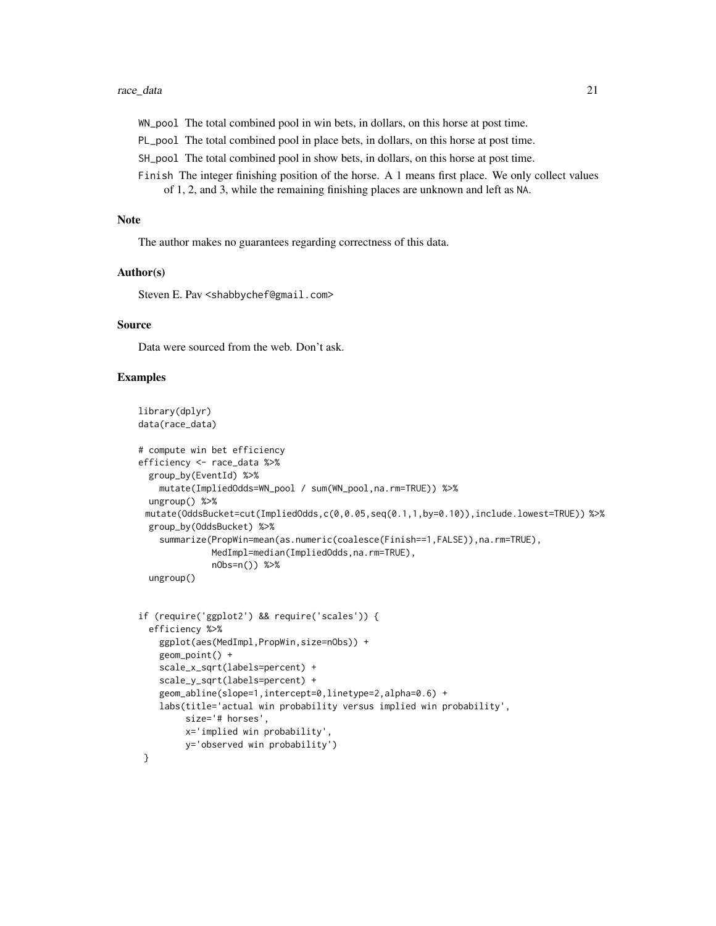#### race\_data 21

WN\_pool The total combined pool in win bets, in dollars, on this horse at post time.

PL\_pool The total combined pool in place bets, in dollars, on this horse at post time.

SH\_pool The total combined pool in show bets, in dollars, on this horse at post time.

Finish The integer finishing position of the horse. A 1 means first place. We only collect values of 1, 2, and 3, while the remaining finishing places are unknown and left as NA.

# Note

The author makes no guarantees regarding correctness of this data.

#### Author(s)

Steven E. Pav <shabbychef@gmail.com>

# Source

Data were sourced from the web. Don't ask.

# Examples

```
library(dplyr)
data(race_data)
# compute win bet efficiency
efficiency <- race_data %>%
 group_by(EventId) %>%
   mutate(ImpliedOdds=WN_pool / sum(WN_pool,na.rm=TRUE)) %>%
 ungroup() %>%
 mutate(OddsBucket=cut(ImpliedOdds,c(0,0.05,seq(0.1,1,by=0.10)),include.lowest=TRUE)) %>%
 group_by(OddsBucket) %>%
    summarize(PropWin=mean(as.numeric(coalesce(Finish==1,FALSE)),na.rm=TRUE),
              MedImpl=median(ImpliedOdds,na.rm=TRUE),
              nObs=n()) %>%
 ungroup()
if (require('ggplot2') && require('scales')) {
```

```
efficiency %>%
   ggplot(aes(MedImpl,PropWin,size=nObs)) +
   geom_point() +
   scale_x_sqrt(labels=percent) +
   scale_y_sqrt(labels=percent) +
   geom_abline(slope=1,intercept=0,linetype=2,alpha=0.6) +
   labs(title='actual win probability versus implied win probability',
       size='# horses',
        x='implied win probability',
       y='observed win probability')
}
```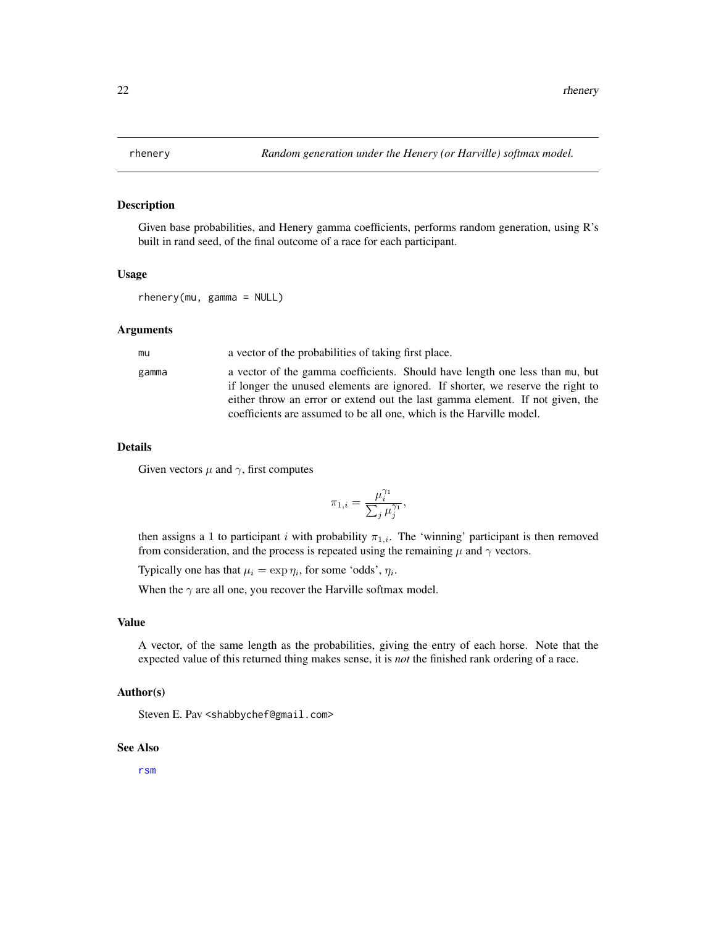<span id="page-21-1"></span><span id="page-21-0"></span>

# Description

Given base probabilities, and Henery gamma coefficients, performs random generation, using R's built in rand seed, of the final outcome of a race for each participant.

#### Usage

```
rhenery(mu, gamma = NULL)
```
#### Arguments

| mu    | a vector of the probabilities of taking first place.                                                                                                           |
|-------|----------------------------------------------------------------------------------------------------------------------------------------------------------------|
| gamma | a vector of the gamma coefficients. Should have length one less than mu, but<br>if longer the unused elements are ignored. If shorter, we reserve the right to |
|       | either throw an error or extend out the last gamma element. If not given, the                                                                                  |
|       | coefficients are assumed to be all one, which is the Harville model.                                                                                           |

#### Details

Given vectors  $\mu$  and  $\gamma$ , first computes

$$
\pi_{1,i} = \frac{\mu_i^{\gamma_1}}{\sum_j \mu_j^{\gamma_1}},
$$

then assigns a 1 to participant i with probability  $\pi_{1,i}$ . The 'winning' participant is then removed from consideration, and the process is repeated using the remaining  $\mu$  and  $\gamma$  vectors.

Typically one has that  $\mu_i = \exp \eta_i$ , for some 'odds',  $\eta_i$ .

When the  $\gamma$  are all one, you recover the Harville softmax model.

# Value

A vector, of the same length as the probabilities, giving the entry of each horse. Note that the expected value of this returned thing makes sense, it is *not* the finished rank ordering of a race.

#### Author(s)

Steven E. Pav <shabbychef@gmail.com>

# See Also

[rsm](#page-22-1)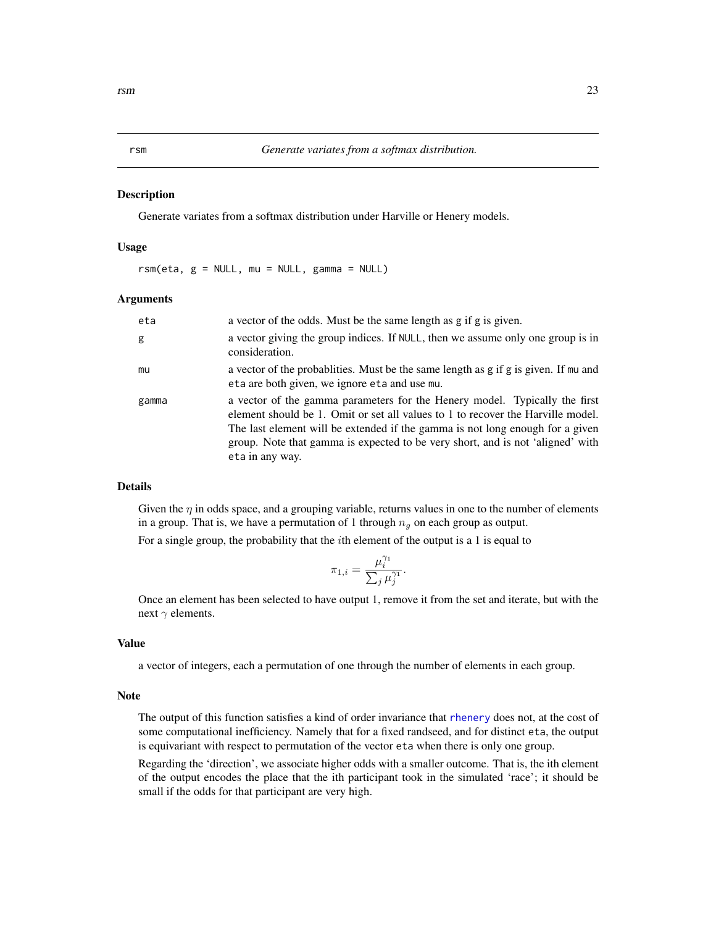### <span id="page-22-1"></span><span id="page-22-0"></span>**Description**

Generate variates from a softmax distribution under Harville or Henery models.

#### Usage

 $rsm(\text{eta}, g = \text{NULL}, mu = \text{NULL}, gamma = \text{NULL})$ 

#### Arguments

| eta   | a vector of the odds. Must be the same length as g if g is given.                                                                                                                                                                                                                                                                                   |
|-------|-----------------------------------------------------------------------------------------------------------------------------------------------------------------------------------------------------------------------------------------------------------------------------------------------------------------------------------------------------|
| g     | a vector giving the group indices. If NULL, then we assume only one group is in<br>consideration.                                                                                                                                                                                                                                                   |
| mu    | a vector of the probabilities. Must be the same length as g if g is given. If mu and<br>eta are both given, we ignore eta and use mu.                                                                                                                                                                                                               |
| gamma | a vector of the gamma parameters for the Henery model. Typically the first<br>element should be 1. Omit or set all values to 1 to recover the Harville model.<br>The last element will be extended if the gamma is not long enough for a given<br>group. Note that gamma is expected to be very short, and is not 'aligned' with<br>eta in any way. |

# Details

Given the  $\eta$  in odds space, and a grouping variable, returns values in one to the number of elements in a group. That is, we have a permutation of 1 through  $n_q$  on each group as output.

For a single group, the probability that the  $i$ th element of the output is a 1 is equal to

$$
\pi_{1,i} = \frac{\mu_i^{\gamma_1}}{\sum_j \mu_j^{\gamma_1}}.
$$

Once an element has been selected to have output 1, remove it from the set and iterate, but with the next  $\gamma$  elements.

# Value

a vector of integers, each a permutation of one through the number of elements in each group.

# Note

The output of this function satisfies a kind of order invariance that [rhenery](#page-21-1) does not, at the cost of some computational inefficiency. Namely that for a fixed randseed, and for distinct eta, the output is equivariant with respect to permutation of the vector eta when there is only one group.

Regarding the 'direction', we associate higher odds with a smaller outcome. That is, the ith element of the output encodes the place that the ith participant took in the simulated 'race'; it should be small if the odds for that participant are very high.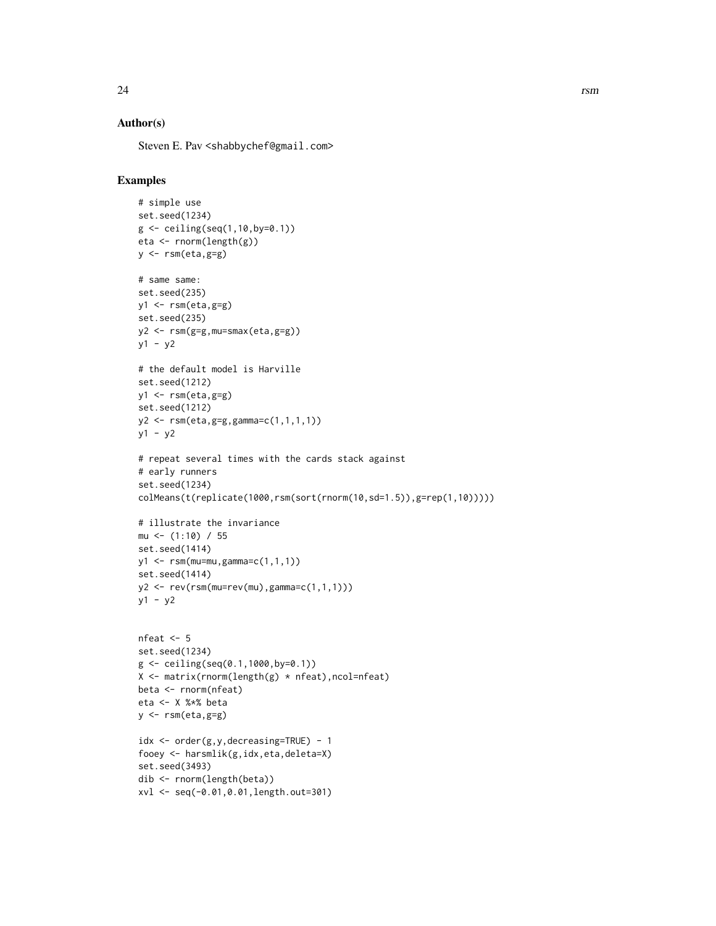# Author(s)

Steven E. Pav <shabbychef@gmail.com>

# Examples

```
# simple use
set.seed(1234)
g \leftarrow ceiling(seq(1,10,by=0.1))
eta <- rnorm(length(g))
y \leftarrow \text{rsm}(\text{eta}, \text{g=g})# same same:
set.seed(235)
y1 \leftarrow \text{rsm}(\text{eta}, \text{g=g})set.seed(235)
y2 <- rsm(g=g,mu=smax(eta,g=g))
y1 - y2
# the default model is Harville
set.seed(1212)
y1 <- rsm(eta,g=g)
set.seed(1212)
y2 <- rsm(eta,g=g,gamma=c(1,1,1,1))
y1 - y2# repeat several times with the cards stack against
# early runners
set.seed(1234)
colMeans(t(replicate(1000,rsm(sort(rnorm(10,sd=1.5)),g=rep(1,10)))))
# illustrate the invariance
mu <- (1:10) / 55
set.seed(1414)
y1 \leq -\text{rsm}(\text{mu=mu}, \text{gamma=cc}(1,1,1))set.seed(1414)
y2 \le -\text{rev}(\text{rsm}(\text{mu}=r\text{ev}(\text{mu}), \text{gamma}=c(1,1,1)))y1 - y2nfeat <- 5
set.seed(1234)
g \leftarrow \text{ceiling}(\text{seq}(0.1, 1000, \text{by=0.1}))X <- matrix(rnorm(length(g) * nfeat),ncol=nfeat)
beta <- rnorm(nfeat)
eta <- X %*% beta
y \leftarrow \text{rsm}(\text{eta}, \text{g=g})idx <- order(g,y,decreasing=TRUE) - 1
fooey <- harsmlik(g,idx,eta,deleta=X)
set.seed(3493)
dib <- rnorm(length(beta))
xvl <- seq(-0.01,0.01,length.out=301)
```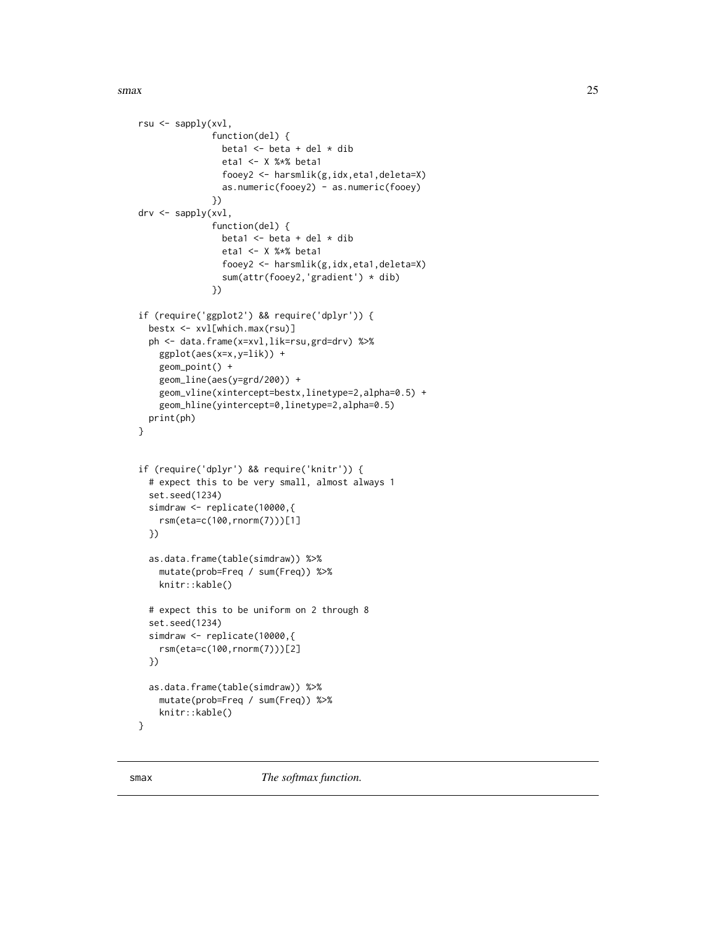## <span id="page-24-0"></span> $s$ max 25

```
rsu <- sapply(xvl,
              function(del) {
                beta1 \leq beta + del \star dib
                eta1 <- X %*% beta1
                fooey2 <- harsmlik(g,idx,eta1,deleta=X)
                as.numeric(fooey2) - as.numeric(fooey)
              })
drv <- sapply(xvl,
              function(del) {
                beta1 \leq beta + del \star dib
                eta1 <- X %*% beta1
                fooey2 <- harsmlik(g,idx,eta1,deleta=X)
                sum(attr(fooey2,'gradient') * dib)
              })
if (require('ggplot2') && require('dplyr')) {
 bestx <- xvl[which.max(rsu)]
 ph <- data.frame(x=xvl,lik=rsu,grd=drv) %>%
    ggplot(aes(x=x,y=lik)) +
   geom_point() +
   geom_line(aes(y=grd/200)) +
    geom_vline(xintercept=bestx,linetype=2,alpha=0.5) +
    geom_hline(yintercept=0,linetype=2,alpha=0.5)
 print(ph)
}
if (require('dplyr') && require('knitr')) {
 # expect this to be very small, almost always 1
 set.seed(1234)
 simdraw <- replicate(10000,{
   rsm(eta=c(100,rnorm(7)))[1]
 })
 as.data.frame(table(simdraw)) %>%
   mutate(prob=Freq / sum(Freq)) %>%
   knitr::kable()
 # expect this to be uniform on 2 through 8
 set.seed(1234)
 simdraw <- replicate(10000,{
    rsm(eta=c(100,rnorm(7)))[2]
 })
 as.data.frame(table(simdraw)) %>%
    mutate(prob=Freq / sum(Freq)) %>%
   knitr::kable()
}
```
<span id="page-24-1"></span>smax *The softmax function.*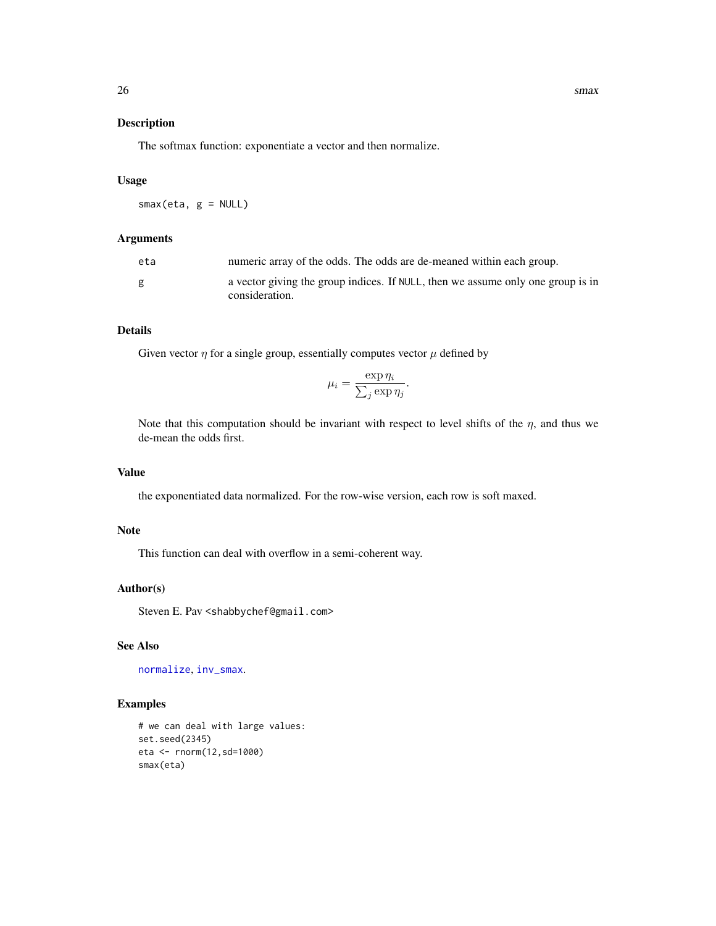# <span id="page-25-0"></span>Description

The softmax function: exponentiate a vector and then normalize.

# Usage

smax(eta, g = NULL)

# Arguments

| eta | numeric array of the odds. The odds are de-meaned within each group.                              |
|-----|---------------------------------------------------------------------------------------------------|
| g   | a vector giving the group indices. If NULL, then we assume only one group is in<br>consideration. |

# Details

Given vector  $\eta$  for a single group, essentially computes vector  $\mu$  defined by

$$
\mu_i = \frac{\exp \eta_i}{\sum_j \exp \eta_j}.
$$

Note that this computation should be invariant with respect to level shifts of the  $\eta$ , and thus we de-mean the odds first.

# Value

the exponentiated data normalized. For the row-wise version, each row is soft maxed.

# Note

This function can deal with overflow in a semi-coherent way.

# Author(s)

Steven E. Pav <shabbychef@gmail.com>

# See Also

[normalize](#page-16-1), [inv\\_smax](#page-15-1).

# Examples

```
# we can deal with large values:
set.seed(2345)
eta <- rnorm(12,sd=1000)
smax(eta)
```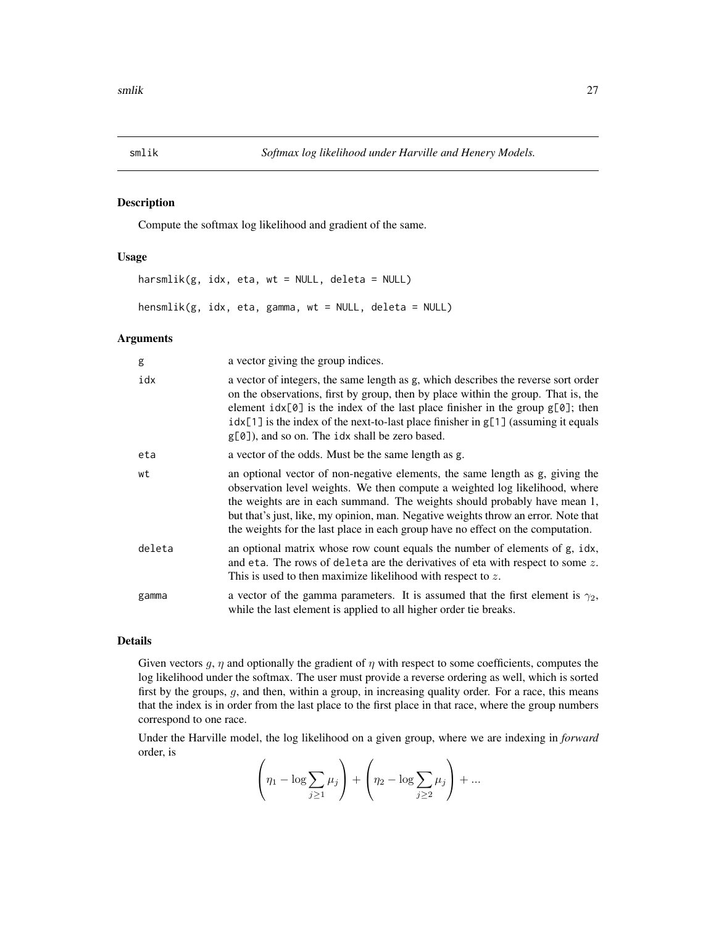<span id="page-26-2"></span><span id="page-26-0"></span>

# <span id="page-26-1"></span>Description

Compute the softmax log likelihood and gradient of the same.

# Usage

harsmlik(g, idx, eta, wt = NULL, deleta = NULL) hensmlik(g, idx, eta, gamma, wt = NULL, deleta = NULL)

# Arguments

| g      | a vector giving the group indices.                                                                                                                                                                                                                                                                                                                                                                                 |
|--------|--------------------------------------------------------------------------------------------------------------------------------------------------------------------------------------------------------------------------------------------------------------------------------------------------------------------------------------------------------------------------------------------------------------------|
| idx    | a vector of integers, the same length as g, which describes the reverse sort order<br>on the observations, first by group, then by place within the group. That is, the<br>element $idx[0]$ is the index of the last place finisher in the group $g[0]$ ; then<br>$idx[1]$ is the index of the next-to-last place finisher in $g[1]$ (assuming it equals<br>$g[0]$ , and so on. The idx shall be zero based.       |
| eta    | a vector of the odds. Must be the same length as g.                                                                                                                                                                                                                                                                                                                                                                |
| wt     | an optional vector of non-negative elements, the same length as g, giving the<br>observation level weights. We then compute a weighted log likelihood, where<br>the weights are in each summand. The weights should probably have mean 1,<br>but that's just, like, my opinion, man. Negative weights throw an error. Note that<br>the weights for the last place in each group have no effect on the computation. |
| deleta | an optional matrix whose row count equals the number of elements of g, idx,<br>and eta. The rows of deleta are the derivatives of eta with respect to some $z$ .<br>This is used to then maximize likelihood with respect to $z$ .                                                                                                                                                                                 |
| gamma  | a vector of the gamma parameters. It is assumed that the first element is $\gamma_2$ ,<br>while the last element is applied to all higher order tie breaks.                                                                                                                                                                                                                                                        |

# Details

Given vectors  $g, \eta$  and optionally the gradient of  $\eta$  with respect to some coefficients, computes the log likelihood under the softmax. The user must provide a reverse ordering as well, which is sorted first by the groups, g, and then, within a group, in increasing quality order. For a race, this means that the index is in order from the last place to the first place in that race, where the group numbers correspond to one race.

Under the Harville model, the log likelihood on a given group, where we are indexing in *forward* order, is  $\overline{1}$  $\overline{1}$ 

$$
\left(\eta_1 - \log \sum_{j\geq 1} \mu_j\right) + \left(\eta_2 - \log \sum_{j\geq 2} \mu_j\right) + \dots
$$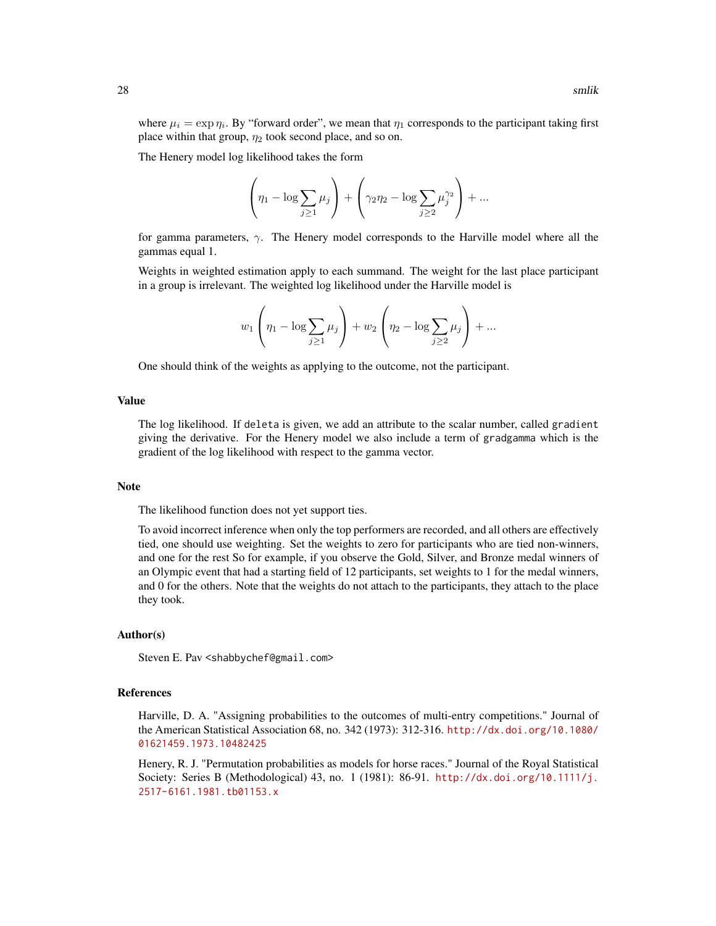where  $\mu_i = \exp \eta_i$ . By "forward order", we mean that  $\eta_1$  corresponds to the participant taking first place within that group,  $\eta_2$  took second place, and so on.

The Henery model log likelihood takes the form

$$
\left(\eta_1 - \log \sum_{j\geq 1} \mu_j\right) + \left(\gamma_2 \eta_2 - \log \sum_{j\geq 2} \mu_j^{\gamma_2}\right) + \dots
$$

for gamma parameters,  $\gamma$ . The Henery model corresponds to the Harville model where all the gammas equal 1.

Weights in weighted estimation apply to each summand. The weight for the last place participant in a group is irrelevant. The weighted log likelihood under the Harville model is

$$
w_1 \left(\eta_1 - \log \sum_{j\geq 1} \mu_j\right) + w_2 \left(\eta_2 - \log \sum_{j\geq 2} \mu_j\right) + \dots
$$

One should think of the weights as applying to the outcome, not the participant.

#### Value

The log likelihood. If deleta is given, we add an attribute to the scalar number, called gradient giving the derivative. For the Henery model we also include a term of gradgamma which is the gradient of the log likelihood with respect to the gamma vector.

#### Note

The likelihood function does not yet support ties.

To avoid incorrect inference when only the top performers are recorded, and all others are effectively tied, one should use weighting. Set the weights to zero for participants who are tied non-winners, and one for the rest So for example, if you observe the Gold, Silver, and Bronze medal winners of an Olympic event that had a starting field of 12 participants, set weights to 1 for the medal winners, and 0 for the others. Note that the weights do not attach to the participants, they attach to the place they took.

# Author(s)

Steven E. Pav <shabbychef@gmail.com>

# References

Harville, D. A. "Assigning probabilities to the outcomes of multi-entry competitions." Journal of the American Statistical Association 68, no. 342 (1973): 312-316. [http://dx.doi.org/10.1080/](http://dx.doi.org/10.1080/01621459.1973.10482425) [01621459.1973.10482425](http://dx.doi.org/10.1080/01621459.1973.10482425)

Henery, R. J. "Permutation probabilities as models for horse races." Journal of the Royal Statistical Society: Series B (Methodological) 43, no. 1 (1981): 86-91. [http://dx.doi.org/10.1111/j.](http://dx.doi.org/10.1111/j.2517-6161.1981.tb01153.x) [2517-6161.1981.tb01153.x](http://dx.doi.org/10.1111/j.2517-6161.1981.tb01153.x)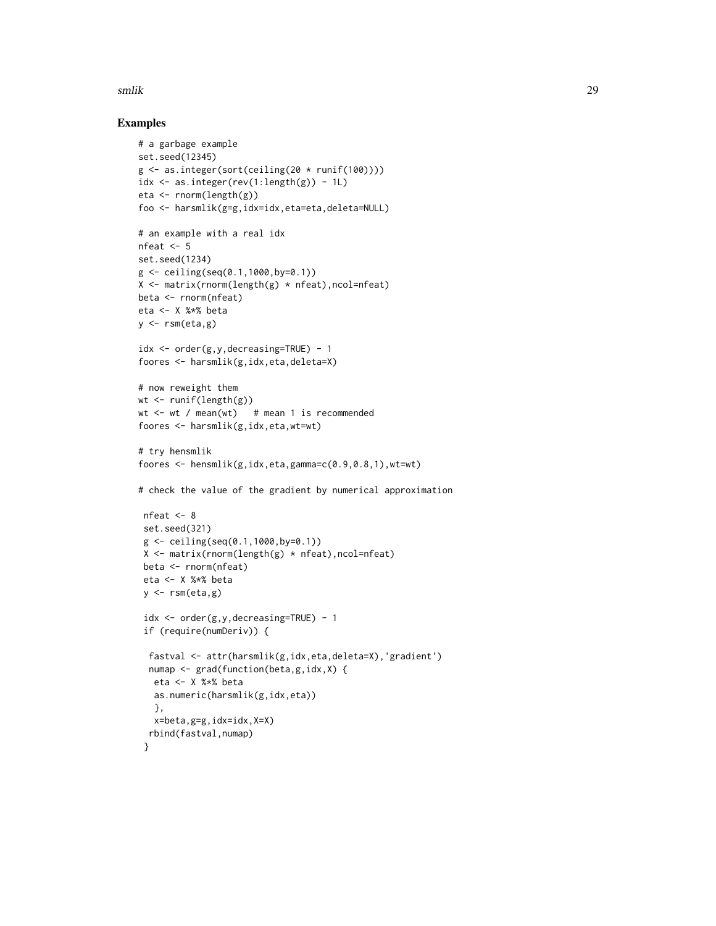#### smlik 29

# Examples

```
# a garbage example
set.seed(12345)
g \leftarrow as.integer(sort(ceiling(20 * runif(100))))idx \leq as.integer(rev(1:length(g)) - 1L)
eta <- rnorm(length(g))
foo <- harsmlik(g=g,idx=idx,eta=eta,deleta=NULL)
# an example with a real idx
nfeat <-5set.seed(1234)
g <- ceiling(seq(0.1,1000,by=0.1))
X <- matrix(rnorm(length(g) * nfeat),ncol=nfeat)
beta <- rnorm(nfeat)
eta <- X %*% beta
y \leftarrow \text{rsm}(\text{eta}, g)idx \leq order(g, y, decreasing=TRUE) - 1
foores <- harsmlik(g,idx,eta,deleta=X)
# now reweight them
wt <- runif(length(g))
wt \leq wt / mean(wt) # mean 1 is recommended
foores <- harsmlik(g,idx,eta,wt=wt)
# try hensmlik
foores <- hensmlik(g,idx,eta,gamma=c(0.9,0.8,1),wt=wt)
# check the value of the gradient by numerical approximation
 nfeat <- 8
 set.seed(321)
 g \leftarrow ceiling(seq(0.1,1000,by=0.1))
 X \leq matrix(rnorm(length(g) * nfeat), ncol=nfeat)
 beta <- rnorm(nfeat)
 eta <- X %*% beta
 y \leftarrow \text{rsm}(\text{eta}, g)idx <- order(g,y,decreasing=TRUE) - 1
 if (require(numDeriv)) {
  fastval <- attr(harsmlik(g,idx,eta,deleta=X),'gradient')
  numap <- grad(function(beta,g,idx,X) {
   eta <- X %*% beta
   as.numeric(harsmlik(g,idx,eta))
   },
   x=beta,g=g,idx=idx,X=X)
  rbind(fastval,numap)
 }
```